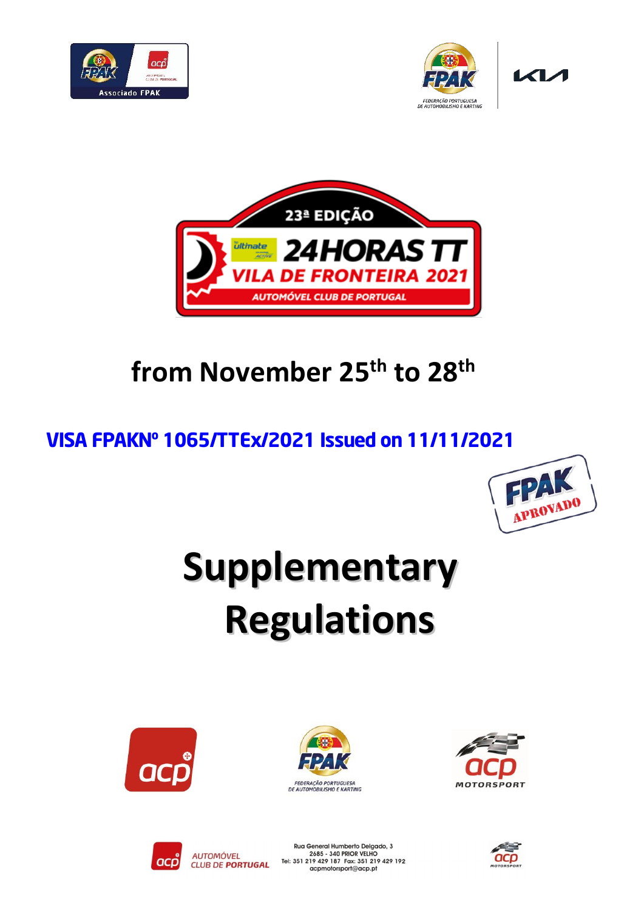







# **from November 25th to 28th**

# VISA FPAKNº 1065/TTEx/2021 Issued on 11/11/2021



# **Supplementary Regulations**









**AUTOMÓVEL CLUB DE PORTUGAL** 

Rua General Humberto Delaado, 3 kua General Humberto Delgado, 3<br>2685 - 340 PRIOR VELHO<br>192 - 192 - 187 Fax: 351 219 429 192 acpmotorsport@acp.pt

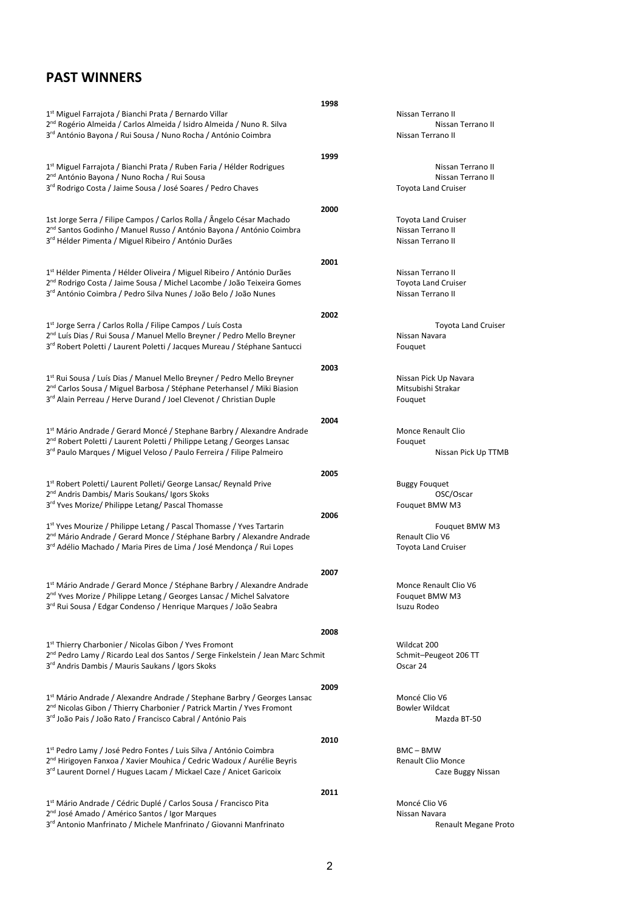# **PAST WINNERS**

|                                                                                                                                                            | 1998 |                                               |
|------------------------------------------------------------------------------------------------------------------------------------------------------------|------|-----------------------------------------------|
| 1 <sup>st</sup> Miguel Farrajota / Bianchi Prata / Bernardo Villar                                                                                         |      | Nissan Terrano II                             |
| 2 <sup>nd</sup> Rogério Almeida / Carlos Almeida / Isidro Almeida / Nuno R. Silva                                                                          |      | Nissan Terrano II                             |
| 3 <sup>rd</sup> António Bayona / Rui Sousa / Nuno Rocha / António Coimbra                                                                                  |      | Nissan Terrano II                             |
|                                                                                                                                                            |      |                                               |
|                                                                                                                                                            | 1999 |                                               |
| 1 <sup>st</sup> Miguel Farrajota / Bianchi Prata / Ruben Faria / Hélder Rodrigues                                                                          |      | Nissan Terrano II                             |
| 2 <sup>nd</sup> António Bayona / Nuno Rocha / Rui Sousa                                                                                                    |      | Nissan Terrano II                             |
| 3rd Rodrigo Costa / Jaime Sousa / José Soares / Pedro Chaves                                                                                               |      | <b>Toyota Land Cruiser</b>                    |
|                                                                                                                                                            | 2000 |                                               |
| 1st Jorge Serra / Filipe Campos / Carlos Rolla / Ângelo César Machado                                                                                      |      | <b>Toyota Land Cruiser</b>                    |
| 2 <sup>nd</sup> Santos Godinho / Manuel Russo / António Bayona / António Coimbra                                                                           |      | Nissan Terrano II                             |
| 3rd Hélder Pimenta / Miguel Ribeiro / António Durães                                                                                                       |      | Nissan Terrano II                             |
|                                                                                                                                                            |      |                                               |
|                                                                                                                                                            | 2001 |                                               |
| 1 <sup>st</sup> Hélder Pimenta / Hélder Oliveira / Miguel Ribeiro / António Durães                                                                         |      | Nissan Terrano II                             |
| 2 <sup>nd</sup> Rodrigo Costa / Jaime Sousa / Michel Lacombe / João Teixeira Gomes                                                                         |      | <b>Toyota Land Cruiser</b>                    |
| 3rd António Coimbra / Pedro Silva Nunes / João Belo / João Nunes                                                                                           |      | Nissan Terrano II                             |
|                                                                                                                                                            |      |                                               |
|                                                                                                                                                            | 2002 |                                               |
| 1st Jorge Serra / Carlos Rolla / Filipe Campos / Luís Costa                                                                                                |      | <b>Toyota Land Cruiser</b>                    |
| 2 <sup>nd</sup> Luís Dias / Rui Sousa / Manuel Mello Breyner / Pedro Mello Breyner                                                                         |      | Nissan Navara                                 |
| 3rd Robert Poletti / Laurent Poletti / Jacques Mureau / Stéphane Santucci                                                                                  |      | Fouquet                                       |
|                                                                                                                                                            | 2003 |                                               |
| 1 <sup>st</sup> Rui Sousa / Luís Dias / Manuel Mello Breyner / Pedro Mello Breyner                                                                         |      | Nissan Pick Up Navara                         |
| 2 <sup>nd</sup> Carlos Sousa / Miguel Barbosa / Stéphane Peterhansel / Miki Biasion                                                                        |      | Mitsubishi Strakar                            |
| 3rd Alain Perreau / Herve Durand / Joel Clevenot / Christian Duple                                                                                         |      | Fouquet                                       |
|                                                                                                                                                            |      |                                               |
|                                                                                                                                                            | 2004 |                                               |
| 1 <sup>st</sup> Mário Andrade / Gerard Moncé / Stephane Barbry / Alexandre Andrade                                                                         |      | Monce Renault Clio                            |
| 2 <sup>nd</sup> Robert Poletti / Laurent Poletti / Philippe Letang / Georges Lansac                                                                        |      | Fouquet                                       |
| 3rd Paulo Marques / Miguel Veloso / Paulo Ferreira / Filipe Palmeiro                                                                                       |      | Nissan Pick Up TTMB                           |
|                                                                                                                                                            |      |                                               |
|                                                                                                                                                            | 2005 |                                               |
| 1st Robert Poletti/ Laurent Polleti/ George Lansac/ Reynald Prive                                                                                          |      | <b>Buggy Fouquet</b>                          |
| 2 <sup>nd</sup> Andris Dambis/ Maris Soukans/ Igors Skoks                                                                                                  |      | OSC/Oscar                                     |
| 3rd Yves Morize/ Philippe Letang/ Pascal Thomasse                                                                                                          |      | Fouquet BMW M3                                |
|                                                                                                                                                            | 2006 |                                               |
| 1st Yves Mourize / Philippe Letang / Pascal Thomasse / Yves Tartarin                                                                                       |      | Fouquet BMW M3                                |
| 2 <sup>nd</sup> Mário Andrade / Gerard Monce / Stéphane Barbry / Alexandre Andrade<br>3rd Adélio Machado / Maria Pires de Lima / José Mendonça / Rui Lopes |      | Renault Clio V6<br><b>Toyota Land Cruiser</b> |
|                                                                                                                                                            |      |                                               |
|                                                                                                                                                            |      |                                               |
|                                                                                                                                                            | 2007 |                                               |
| 1st Mário Andrade / Gerard Monce / Stéphane Barbry / Alexandre Andrade                                                                                     |      | Monce Renault Clio V6                         |
| 2 <sup>nd</sup> Yves Morize / Philippe Letang / Georges Lansac / Michel Salvatore                                                                          |      | Fouquet BMW M3                                |
| 3rd Rui Sousa / Edgar Condenso / Henrique Marques / João Seabra                                                                                            |      | <b>Isuzu Rodeo</b>                            |
|                                                                                                                                                            |      |                                               |
|                                                                                                                                                            | 2008 |                                               |
| 1 <sup>st</sup> Thierry Charbonier / Nicolas Gibon / Yves Fromont                                                                                          |      | Wildcat 200                                   |
| 2 <sup>nd</sup> Pedro Lamy / Ricardo Leal dos Santos / Serge Finkelstein / Jean Marc Schmit                                                                |      | Schmit-Peugeot 206 TT                         |
| 3rd Andris Dambis / Mauris Saukans / Igors Skoks                                                                                                           |      | Oscar 24                                      |
|                                                                                                                                                            |      |                                               |
|                                                                                                                                                            | 2009 |                                               |
| 1 <sup>st</sup> Mário Andrade / Alexandre Andrade / Stephane Barbry / Georges Lansac                                                                       |      | Moncé Clio V6                                 |
| 2 <sup>nd</sup> Nicolas Gibon / Thierry Charbonier / Patrick Martin / Yves Fromont                                                                         |      | <b>Bowler Wildcat</b>                         |
| 3rd João Pais / João Rato / Francisco Cabral / António Pais                                                                                                |      | Mazda BT-50                                   |
|                                                                                                                                                            |      |                                               |
|                                                                                                                                                            | 2010 |                                               |
| 1 <sup>st</sup> Pedro Lamy / José Pedro Fontes / Luis Silva / António Coimbra                                                                              |      | BMC-BMW                                       |
| 2 <sup>nd</sup> Hirigoyen Fanxoa / Xavier Mouhica / Cedric Wadoux / Aurélie Beyris<br>3rd Laurent Dornel / Hugues Lacam / Mickael Caze / Anicet Garicoix   |      | Renault Clio Monce                            |
|                                                                                                                                                            |      | Caze Buggy Nissan                             |
|                                                                                                                                                            | 2011 |                                               |
| 1 <sup>st</sup> Mário Andrade / Cédric Duplé / Carlos Sousa / Francisco Pita                                                                               |      | Moncé Clio V6                                 |
| 2 <sup>nd</sup> José Amado / Américo Santos / Igor Marques                                                                                                 |      | Nissan Navara                                 |
| 3rd Antonio Manfrinato / Michele Manfrinato / Giovanni Manfrinato                                                                                          |      | <b>Renault Megane Proto</b>                   |
|                                                                                                                                                            |      |                                               |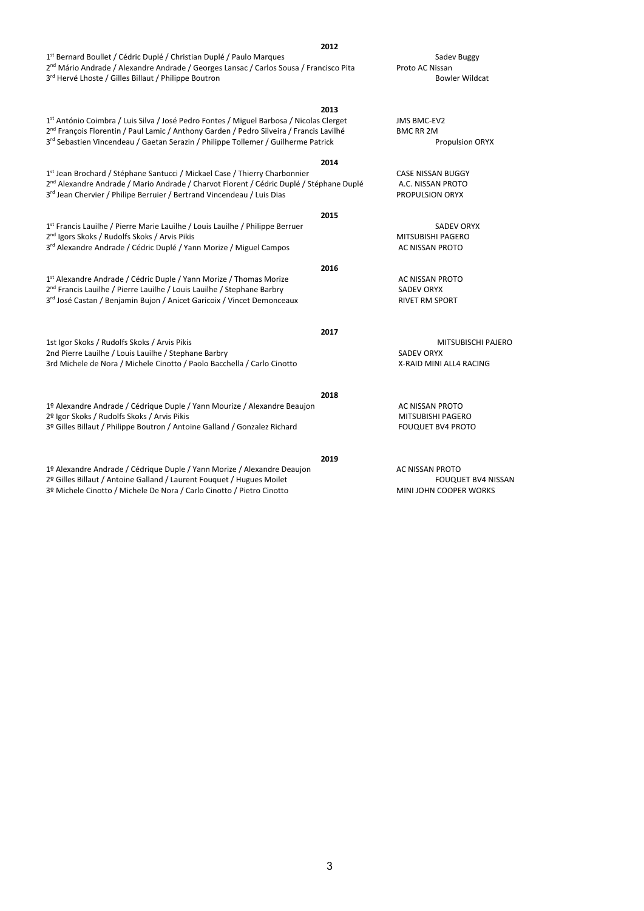| 1 <sup>st</sup> Bernard Boullet / Cédric Duplé / Christian Duplé / Paulo Marques                    |      | Sadev Buggy              |
|-----------------------------------------------------------------------------------------------------|------|--------------------------|
| 2 <sup>nd</sup> Mário Andrade / Alexandre Andrade / Georges Lansac / Carlos Sousa / Francisco Pita  |      | Proto AC Nissan          |
| 3rd Hervé Lhoste / Gilles Billaut / Philippe Boutron                                                |      | <b>Bowler Wildcat</b>    |
|                                                                                                     | 2013 |                          |
| 1st António Coimbra / Luis Silva / José Pedro Fontes / Miguel Barbosa / Nicolas Clerget             |      | JMS BMC-EV2              |
| 2 <sup>nd</sup> Francois Florentin / Paul Lamic / Anthony Garden / Pedro Silveira / Francis Lavilhé |      | <b>BMC RR 2M</b>         |
| 3 <sup>rd</sup> Sebastien Vincendeau / Gaetan Serazin / Philippe Tollemer / Guilherme Patrick       |      | <b>Propulsion ORYX</b>   |
|                                                                                                     | 2014 |                          |
| 1st Jean Brochard / Stéphane Santucci / Mickael Case / Thierry Charbonnier                          |      | CASE NISSAN BUGGY        |
| 2 <sup>nd</sup> Alexandre Andrade / Mario Andrade / Charvot Florent / Cédric Duplé / Stéphane Duplé |      | A.C. NISSAN PROTO        |
| 3 <sup>rd</sup> Jean Chervier / Philipe Berruier / Bertrand Vincendeau / Luis Dias                  |      | PROPULSION ORYX          |
|                                                                                                     | 2015 |                          |
| 1st Francis Lauilhe / Pierre Marie Lauilhe / Louis Lauilhe / Philippe Berruer                       |      | <b>SADEV ORYX</b>        |
| 2 <sup>nd</sup> Igors Skoks / Rudolfs Skoks / Arvis Pikis                                           |      | MITSUBISHI PAGERO        |
| 3 <sup>rd</sup> Alexandre Andrade / Cédric Duplé / Yann Morize / Miguel Campos                      |      | AC NISSAN PROTO          |
|                                                                                                     | 2016 |                          |
| 1st Alexandre Andrade / Cédric Duple / Yann Morize / Thomas Morize                                  |      | AC NISSAN PROTO          |
| 2 <sup>nd</sup> Francis Lauilhe / Pierre Lauilhe / Louis Lauilhe / Stephane Barbry                  |      | <b>SADEV ORYX</b>        |
| 3 <sup>rd</sup> José Castan / Benjamin Bujon / Anicet Garicoix / Vincet Demonceaux                  |      | <b>RIVET RM SPORT</b>    |
|                                                                                                     | 2017 |                          |
| 1st Igor Skoks / Rudolfs Skoks / Arvis Pikis                                                        |      | MITSUBISCHI PAJERO       |
| 2nd Pierre Lauilhe / Louis Lauilhe / Stephane Barbry                                                |      | <b>SADEV ORYX</b>        |
| 3rd Michele de Nora / Michele Cinotto / Paolo Bacchella / Carlo Cinotto                             |      | X-RAID MINI ALL4 RACING  |
|                                                                                                     |      |                          |
|                                                                                                     | 2018 |                          |
| 1º Alexandre Andrade / Cédrique Duple / Yann Mourize / Alexandre Beaujon                            |      | AC NISSAN PROTO          |
| 2º Igor Skoks / Rudolfs Skoks / Arvis Pikis                                                         |      | MITSUBISHI PAGERO        |
| 3º Gilles Billaut / Philippe Boutron / Antoine Galland / Gonzalez Richard                           |      | <b>FOUQUET BV4 PROTO</b> |
|                                                                                                     | 2019 |                          |
| 1º Alexandre Andrade / Cédrique Duple / Yann Morize / Alexandre Deaujon                             |      | AC NISSAN PROTO          |
|                                                                                                     |      |                          |

**2012**

2º Gilles Billaut / Antoine Galland / Laurent Fouquet / Hugues Moilet FOUQUET BV4 NISSAN 3º Michele Cinotto / Michele De Nora / Carlo Cinotto / Pietro Cinotto MINI JOHN COOPER WORKS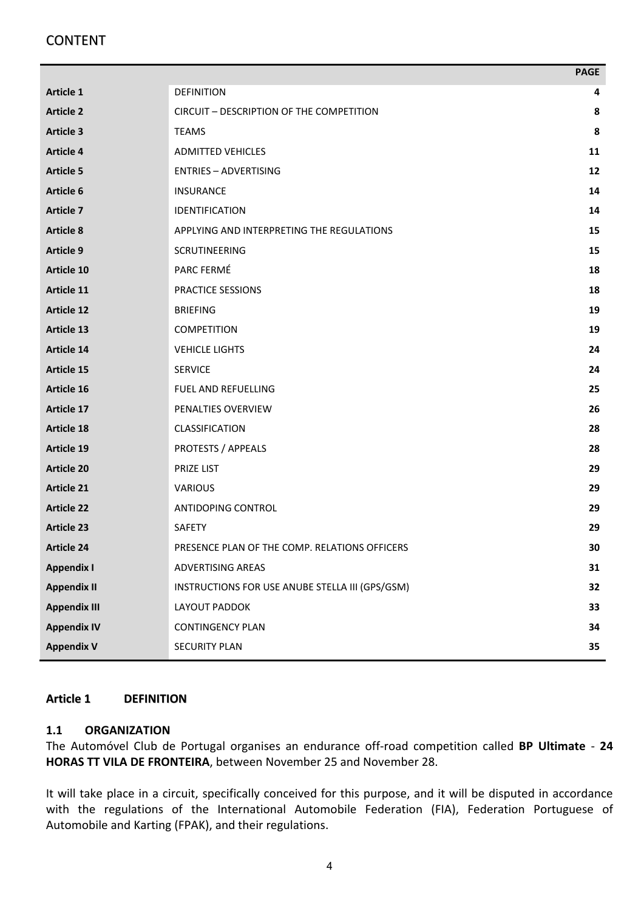# CONTENT

|                     |                                                 | <b>PAGE</b> |
|---------------------|-------------------------------------------------|-------------|
| <b>Article 1</b>    | <b>DEFINITION</b>                               | 4           |
| <b>Article 2</b>    | CIRCUIT - DESCRIPTION OF THE COMPETITION        | 8           |
| <b>Article 3</b>    | <b>TEAMS</b>                                    | 8           |
| <b>Article 4</b>    | <b>ADMITTED VEHICLES</b>                        | 11          |
| <b>Article 5</b>    | <b>ENTRIES - ADVERTISING</b>                    | 12          |
| <b>Article 6</b>    | <b>INSURANCE</b>                                | 14          |
| <b>Article 7</b>    | <b>IDENTIFICATION</b>                           | 14          |
| <b>Article 8</b>    | APPLYING AND INTERPRETING THE REGULATIONS       | 15          |
| <b>Article 9</b>    | <b>SCRUTINEERING</b>                            | 15          |
| Article 10          | PARC FERMÉ                                      | 18          |
| Article 11          | PRACTICE SESSIONS                               | 18          |
| <b>Article 12</b>   | <b>BRIEFING</b>                                 | 19          |
| Article 13          | <b>COMPETITION</b>                              | 19          |
| Article 14          | <b>VEHICLE LIGHTS</b>                           | 24          |
| <b>Article 15</b>   | <b>SERVICE</b>                                  | 24          |
| Article 16          | <b>FUEL AND REFUELLING</b>                      | 25          |
| <b>Article 17</b>   | PENALTIES OVERVIEW                              | 26          |
| <b>Article 18</b>   | CLASSIFICATION                                  | 28          |
| Article 19          | <b>PROTESTS / APPEALS</b>                       | 28          |
| <b>Article 20</b>   | PRIZE LIST                                      | 29          |
| <b>Article 21</b>   | <b>VARIOUS</b>                                  | 29          |
| <b>Article 22</b>   | ANTIDOPING CONTROL                              | 29          |
| <b>Article 23</b>   | SAFETY                                          | 29          |
| <b>Article 24</b>   | PRESENCE PLAN OF THE COMP. RELATIONS OFFICERS   | 30          |
| <b>Appendix I</b>   | ADVERTISING AREAS                               | 31          |
| <b>Appendix II</b>  | INSTRUCTIONS FOR USE ANUBE STELLA III (GPS/GSM) | 32          |
| <b>Appendix III</b> | LAYOUT PADDOK                                   | 33          |
| <b>Appendix IV</b>  | <b>CONTINGENCY PLAN</b>                         | 34          |
| <b>Appendix V</b>   | <b>SECURITY PLAN</b>                            | 35          |

#### **Article 1 DEFINITION**

#### **1.1 ORGANIZATION**

The Automóvel Club de Portugal organises an endurance off-road competition called **BP Ultimate** - **24 HORAS TT VILA DE FRONTEIRA**, between November 25 and November 28.

It will take place in a circuit, specifically conceived for this purpose, and it will be disputed in accordance with the regulations of the International Automobile Federation (FIA), Federation Portuguese of Automobile and Karting (FPAK), and their regulations.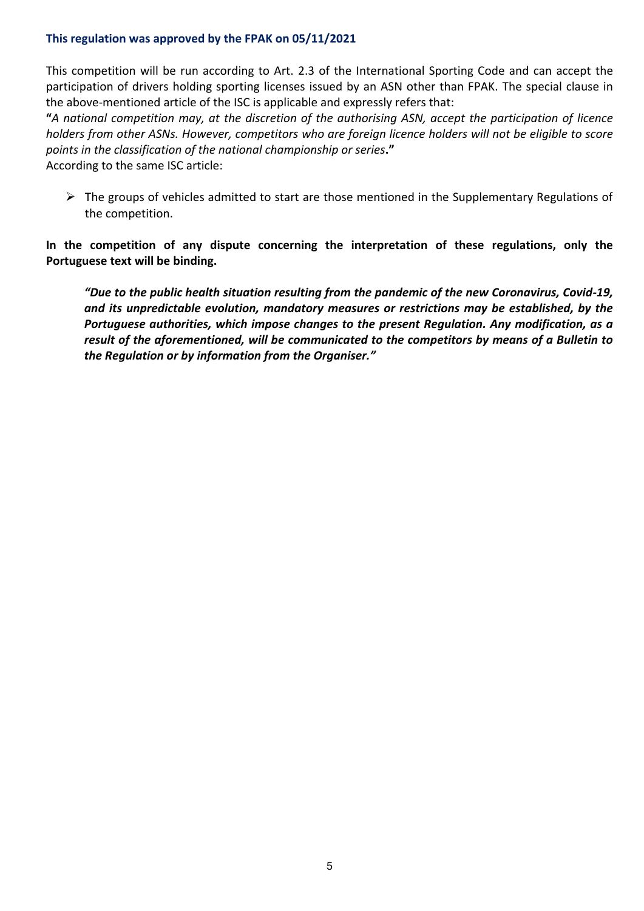#### **This regulation was approved by the FPAK on 05/11/2021**

This competition will be run according to Art. 2.3 of the International Sporting Code and can accept the participation of drivers holding sporting licenses issued by an ASN other than FPAK. The special clause in the above-mentioned article of the ISC is applicable and expressly refers that:

**"***A national competition may, at the discretion of the authorising ASN, accept the participation of licence holders from other ASNs. However, competitors who are foreign licence holders will not be eligible to score points in the classification of the national championship or series***."**

According to the same ISC article:

➢ The groups of vehicles admitted to start are those mentioned in the Supplementary Regulations of the competition.

**In the competition of any dispute concerning the interpretation of these regulations, only the Portuguese text will be binding.**

*"Due to the public health situation resulting from the pandemic of the new Coronavirus, Covid-19, and its unpredictable evolution, mandatory measures or restrictions may be established, by the Portuguese authorities, which impose changes to the present Regulation. Any modification, as a result of the aforementioned, will be communicated to the competitors by means of a Bulletin to the Regulation or by information from the Organiser."*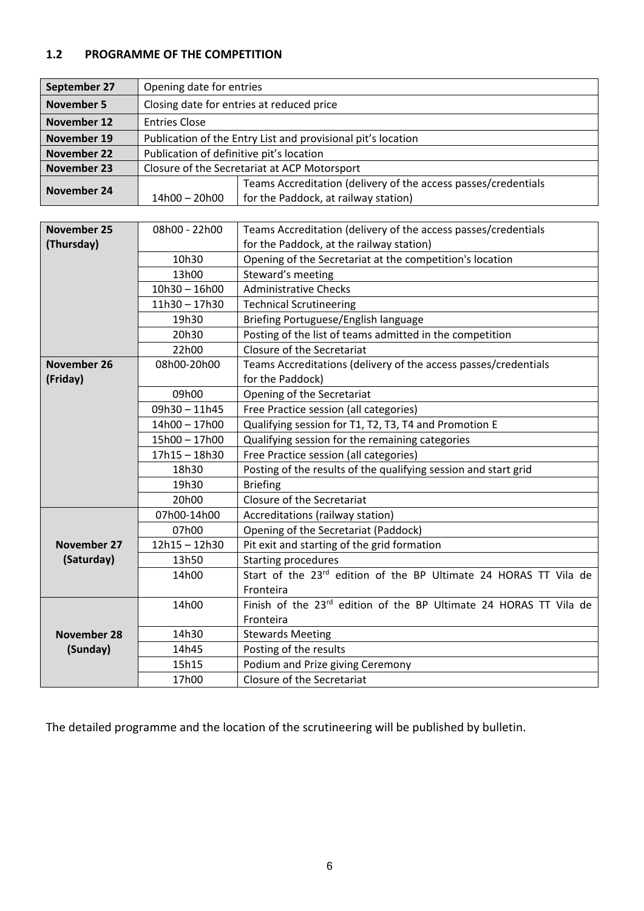# **1.2 PROGRAMME OF THE COMPETITION**

| September 27       | Opening date for entries                                       |                                      |
|--------------------|----------------------------------------------------------------|--------------------------------------|
| November 5         | Closing date for entries at reduced price                      |                                      |
| November 12        | <b>Entries Close</b>                                           |                                      |
| November 19        | Publication of the Entry List and provisional pit's location   |                                      |
| November 22        | Publication of definitive pit's location                       |                                      |
| <b>November 23</b> | Closure of the Secretariat at ACP Motorsport                   |                                      |
| November 24        | Teams Accreditation (delivery of the access passes/credentials |                                      |
|                    | 14h00 - 20h00                                                  | for the Paddock, at railway station) |

| <b>November 25</b> | 08h00 - 22h00   | Teams Accreditation (delivery of the access passes/credentials                |
|--------------------|-----------------|-------------------------------------------------------------------------------|
| (Thursday)         |                 | for the Paddock, at the railway station)                                      |
|                    | 10h30           | Opening of the Secretariat at the competition's location                      |
|                    | 13h00           | Steward's meeting                                                             |
|                    | $10h30 - 16h00$ | <b>Administrative Checks</b>                                                  |
|                    | $11h30 - 17h30$ | <b>Technical Scrutineering</b>                                                |
|                    | 19h30           | Briefing Portuguese/English language                                          |
|                    | 20h30           | Posting of the list of teams admitted in the competition                      |
|                    | 22h00           | Closure of the Secretariat                                                    |
| <b>November 26</b> | 08h00-20h00     | Teams Accreditations (delivery of the access passes/credentials               |
| (Friday)           |                 | for the Paddock)                                                              |
|                    | 09h00           | Opening of the Secretariat                                                    |
|                    | $09h30 - 11h45$ | Free Practice session (all categories)                                        |
|                    | 14h00 - 17h00   | Qualifying session for T1, T2, T3, T4 and Promotion E                         |
|                    | 15h00 - 17h00   | Qualifying session for the remaining categories                               |
|                    | $17h15 - 18h30$ | Free Practice session (all categories)                                        |
|                    | 18h30           | Posting of the results of the qualifying session and start grid               |
|                    | 19h30           | <b>Briefing</b>                                                               |
|                    | 20h00           | Closure of the Secretariat                                                    |
|                    | 07h00-14h00     | Accreditations (railway station)                                              |
|                    | 07h00           | Opening of the Secretariat (Paddock)                                          |
| <b>November 27</b> | 12h15-12h30     | Pit exit and starting of the grid formation                                   |
| (Saturday)         | 13h50           | <b>Starting procedures</b>                                                    |
|                    | 14h00           | Start of the 23rd edition of the BP Ultimate 24 HORAS TT Vila de              |
|                    |                 | Fronteira                                                                     |
|                    | 14h00           | Finish of the 23 <sup>rd</sup> edition of the BP Ultimate 24 HORAS TT Vila de |
|                    |                 | Fronteira                                                                     |
| <b>November 28</b> | 14h30           | <b>Stewards Meeting</b>                                                       |
| (Sunday)           | 14h45           | Posting of the results                                                        |
|                    | 15h15           | Podium and Prize giving Ceremony                                              |
|                    | 17h00           | Closure of the Secretariat                                                    |

The detailed programme and the location of the scrutineering will be published by bulletin.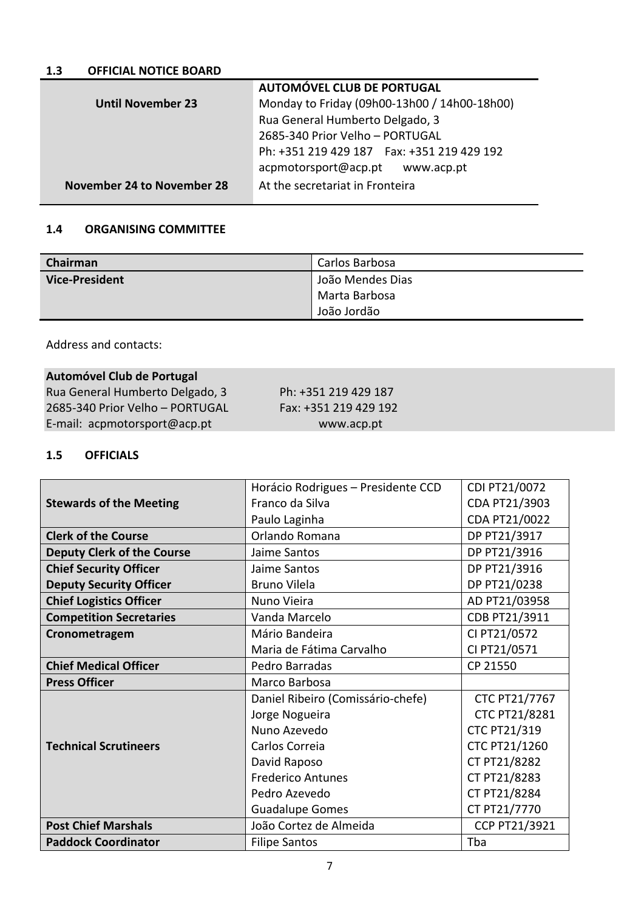# **1.3 OFFICIAL NOTICE BOARD**

|                            | AUTOMÓVEL CLUB DE PORTUGAL                   |
|----------------------------|----------------------------------------------|
| <b>Until November 23</b>   | Monday to Friday (09h00-13h00 / 14h00-18h00) |
|                            | Rua General Humberto Delgado, 3              |
|                            | 2685-340 Prior Velho - PORTUGAL              |
|                            | Ph: +351 219 429 187  Fax: +351 219 429 192  |
|                            | acpmotorsport@acp.pt www.acp.pt              |
| November 24 to November 28 | At the secretariat in Fronteira              |

#### **1.4 ORGANISING COMMITTEE**

| Chairman              | Carlos Barbosa   |
|-----------------------|------------------|
| <b>Vice-President</b> | João Mendes Dias |
|                       | Marta Barbosa    |
|                       | João Jordão      |

Address and contacts:

# **Automóvel Club de Portugal**

| Rua General Humberto Delgado, 3 | Ph: +351 219 429 187  |
|---------------------------------|-----------------------|
| 2685-340 Prior Velho - PORTUGAL | Fax: +351 219 429 192 |
| E-mail: acpmotorsport@acp.pt    | www.acp.pt            |

#### **1.5 OFFICIALS**

|                                   | Horácio Rodrigues - Presidente CCD | CDI PT21/0072        |
|-----------------------------------|------------------------------------|----------------------|
| <b>Stewards of the Meeting</b>    | Franco da Silva                    | CDA PT21/3903        |
|                                   | Paulo Laginha                      | CDA PT21/0022        |
| <b>Clerk of the Course</b>        | Orlando Romana                     | DP PT21/3917         |
| <b>Deputy Clerk of the Course</b> | Jaime Santos                       | DP PT21/3916         |
| <b>Chief Security Officer</b>     | Jaime Santos                       | DP PT21/3916         |
| <b>Deputy Security Officer</b>    | <b>Bruno Vilela</b>                | DP PT21/0238         |
| <b>Chief Logistics Officer</b>    | Nuno Vieira                        | AD PT21/03958        |
| <b>Competition Secretaries</b>    | Vanda Marcelo                      | CDB PT21/3911        |
| Cronometragem                     | Mário Bandeira                     | CI PT21/0572         |
|                                   | Maria de Fátima Carvalho           | CI PT21/0571         |
| <b>Chief Medical Officer</b>      | Pedro Barradas                     | CP 21550             |
| <b>Press Officer</b>              | Marco Barbosa                      |                      |
|                                   | Daniel Ribeiro (Comissário-chefe)  | <b>CTC PT21/7767</b> |
|                                   | Jorge Nogueira                     | <b>CTC PT21/8281</b> |
|                                   | Nuno Azevedo                       | <b>CTC PT21/319</b>  |
| <b>Technical Scrutineers</b>      | Carlos Correia                     | CTC PT21/1260        |
|                                   | David Raposo                       | CT PT21/8282         |
|                                   | <b>Frederico Antunes</b>           | CT PT21/8283         |
|                                   | Pedro Azevedo                      | CT PT21/8284         |
|                                   | <b>Guadalupe Gomes</b>             | CT PT21/7770         |
| <b>Post Chief Marshals</b>        | João Cortez de Almeida             | CCP PT21/3921        |
| <b>Paddock Coordinator</b>        | <b>Filipe Santos</b>               | Tba                  |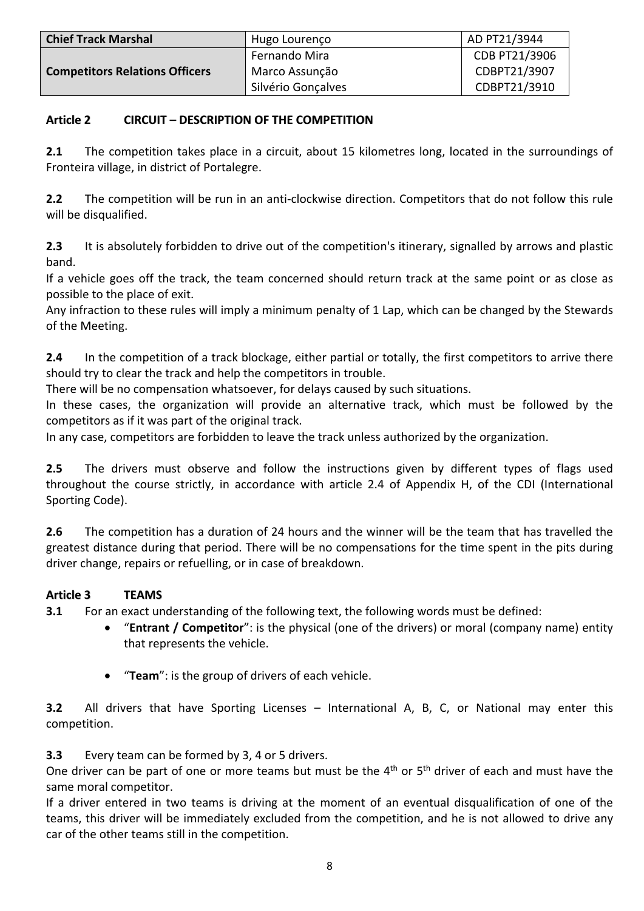| <b>Chief Track Marshal</b>            | Hugo Lourenço      | AD PT21/3944  |
|---------------------------------------|--------------------|---------------|
|                                       | Fernando Mira      | CDB PT21/3906 |
| <b>Competitors Relations Officers</b> | Marco Assunção     | CDBPT21/3907  |
|                                       | Silvério Gonçalves | CDBPT21/3910  |

# **Article 2 CIRCUIT – DESCRIPTION OF THE COMPETITION**

**2.1** The competition takes place in a circuit, about 15 kilometres long, located in the surroundings of Fronteira village, in district of Portalegre.

**2.2** The competition will be run in an anti-clockwise direction. Competitors that do not follow this rule will be disqualified.

**2.3** It is absolutely forbidden to drive out of the competition's itinerary, signalled by arrows and plastic band.

If a vehicle goes off the track, the team concerned should return track at the same point or as close as possible to the place of exit.

Any infraction to these rules will imply a minimum penalty of 1 Lap, which can be changed by the Stewards of the Meeting.

**2.4** In the competition of a track blockage, either partial or totally, the first competitors to arrive there should try to clear the track and help the competitors in trouble.

There will be no compensation whatsoever, for delays caused by such situations.

In these cases, the organization will provide an alternative track, which must be followed by the competitors as if it was part of the original track.

In any case, competitors are forbidden to leave the track unless authorized by the organization.

**2.5** The drivers must observe and follow the instructions given by different types of flags used throughout the course strictly, in accordance with article 2.4 of Appendix H, of the CDI (International Sporting Code).

**2.6** The competition has a duration of 24 hours and the winner will be the team that has travelled the greatest distance during that period. There will be no compensations for the time spent in the pits during driver change, repairs or refuelling, or in case of breakdown.

# **Article 3 TEAMS**

**3.1** For an exact understanding of the following text, the following words must be defined:

- "**Entrant / Competitor**": is the physical (one of the drivers) or moral (company name) entity that represents the vehicle.
- "**Team**": is the group of drivers of each vehicle.

**3.2** All drivers that have Sporting Licenses – International A, B, C, or National may enter this competition.

**3.3** Every team can be formed by 3, 4 or 5 drivers.

One driver can be part of one or more teams but must be the  $4<sup>th</sup>$  or  $5<sup>th</sup>$  driver of each and must have the same moral competitor.

If a driver entered in two teams is driving at the moment of an eventual disqualification of one of the teams, this driver will be immediately excluded from the competition, and he is not allowed to drive any car of the other teams still in the competition.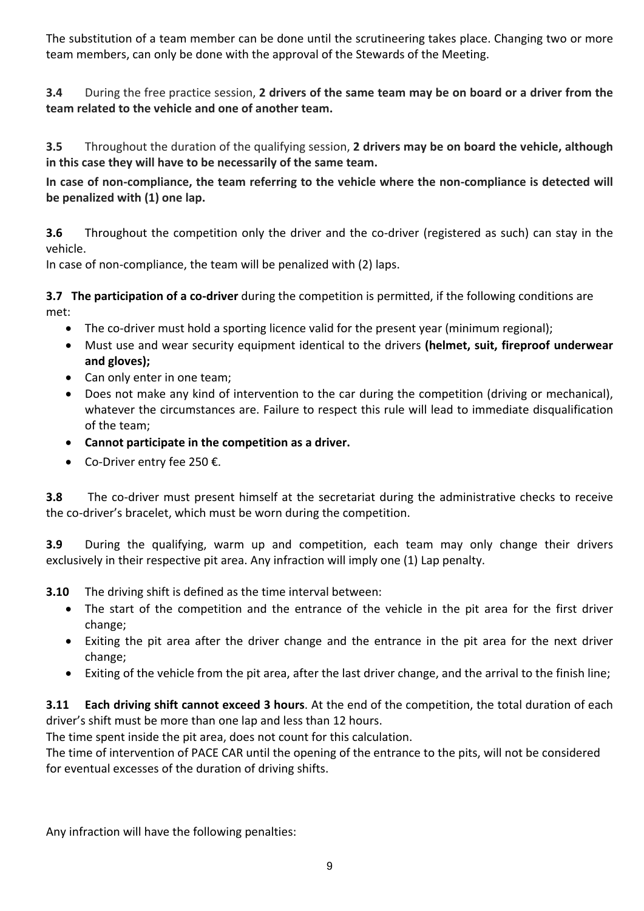The substitution of a team member can be done until the scrutineering takes place. Changing two or more team members, can only be done with the approval of the Stewards of the Meeting.

**3.4** During the free practice session, **2 drivers of the same team may be on board or a driver from the team related to the vehicle and one of another team.**

**3.5** Throughout the duration of the qualifying session, **2 drivers may be on board the vehicle, although in this case they will have to be necessarily of the same team.**

**In case of non-compliance, the team referring to the vehicle where the non-compliance is detected will be penalized with (1) one lap.**

**3.6** Throughout the competition only the driver and the co-driver (registered as such) can stay in the vehicle.

In case of non-compliance, the team will be penalized with (2) laps.

**3.7 The participation of a co-driver** during the competition is permitted, if the following conditions are met:

- The co-driver must hold a sporting licence valid for the present year (minimum regional);
- Must use and wear security equipment identical to the drivers **(helmet, suit, fireproof underwear and gloves);**
- Can only enter in one team;
- Does not make any kind of intervention to the car during the competition (driving or mechanical), whatever the circumstances are. Failure to respect this rule will lead to immediate disqualification of the team;
- **Cannot participate in the competition as a driver.**
- Co-Driver entry fee 250 €.

**3.8** The co-driver must present himself at the secretariat during the administrative checks to receive the co-driver's bracelet, which must be worn during the competition.

**3.9** During the qualifying, warm up and competition, each team may only change their drivers exclusively in their respective pit area. Any infraction will imply one (1) Lap penalty.

**3.10** The driving shift is defined as the time interval between:

- The start of the competition and the entrance of the vehicle in the pit area for the first driver change;
- Exiting the pit area after the driver change and the entrance in the pit area for the next driver change;
- Exiting of the vehicle from the pit area, after the last driver change, and the arrival to the finish line;

**3.11 Each driving shift cannot exceed 3 hours**. At the end of the competition, the total duration of each driver's shift must be more than one lap and less than 12 hours.

The time spent inside the pit area, does not count for this calculation.

The time of intervention of PACE CAR until the opening of the entrance to the pits, will not be considered for eventual excesses of the duration of driving shifts.

Any infraction will have the following penalties: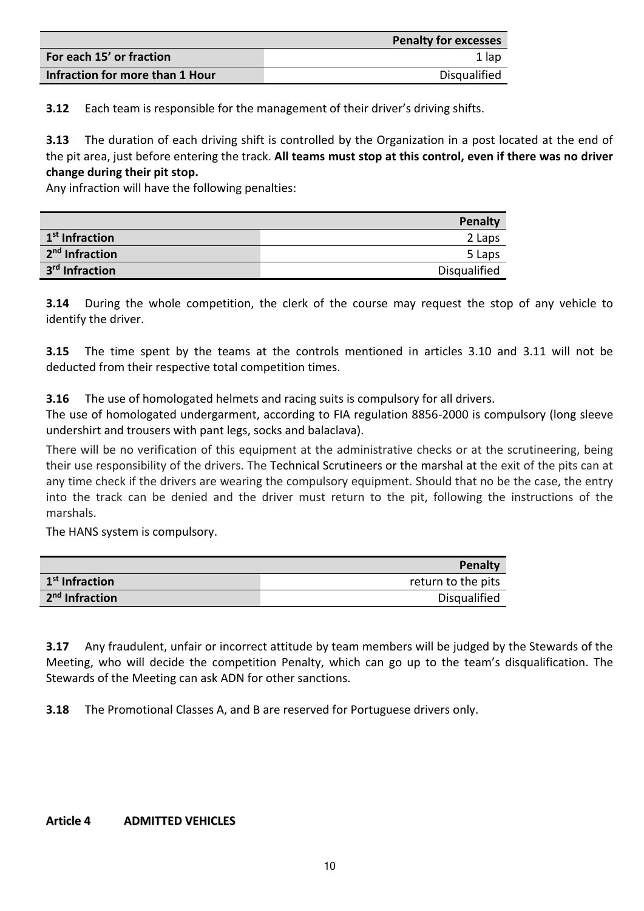|                                 | <b>Penalty for excesses</b> |
|---------------------------------|-----------------------------|
| For each 15' or fraction        | 1 lap                       |
| Infraction for more than 1 Hour | Disqualified                |

**3.12** Each team is responsible for the management of their driver's driving shifts.

**3.13** The duration of each driving shift is controlled by the Organization in a post located at the end of the pit area, just before entering the track. **All teams must stop at this control, even if there was no driver change during their pit stop.**

Any infraction will have the following penalties:

|                            | Penalty      |
|----------------------------|--------------|
| 1 <sup>st</sup> Infraction | 2 Laps       |
| 2 <sup>nd</sup> Infraction | 5 Laps       |
| 3rd Infraction             | Disqualified |

**3.14** During the whole competition, the clerk of the course may request the stop of any vehicle to identify the driver.

**3.15** The time spent by the teams at the controls mentioned in articles 3.10 and 3.11 will not be deducted from their respective total competition times.

**3.16** The use of homologated helmets and racing suits is compulsory for all drivers.

The use of homologated undergarment, according to FIA regulation 8856-2000 is compulsory (long sleeve undershirt and trousers with pant legs, socks and balaclava).

There will be no verification of this equipment at the administrative checks or at the scrutineering, being their use responsibility of the drivers. The Technical Scrutineers or the marshal at the exit of the pits can at any time check if the drivers are wearing the compulsory equipment. Should that no be the case, the entry into the track can be denied and the driver must return to the pit, following the instructions of the marshals.

The HANS system is compulsory.

|                            | Penalty            |
|----------------------------|--------------------|
| 1 <sup>st</sup> Infraction | return to the pits |
| 2 <sup>nd</sup> Infraction | Disqualified       |

**3.17** Any fraudulent, unfair or incorrect attitude by team members will be judged by the Stewards of the Meeting, who will decide the competition Penalty, which can go up to the team's disqualification. The Stewards of the Meeting can ask ADN for other sanctions.

**3.18** The Promotional Classes A, and B are reserved for Portuguese drivers only.

#### **Article 4 ADMITTED VEHICLES**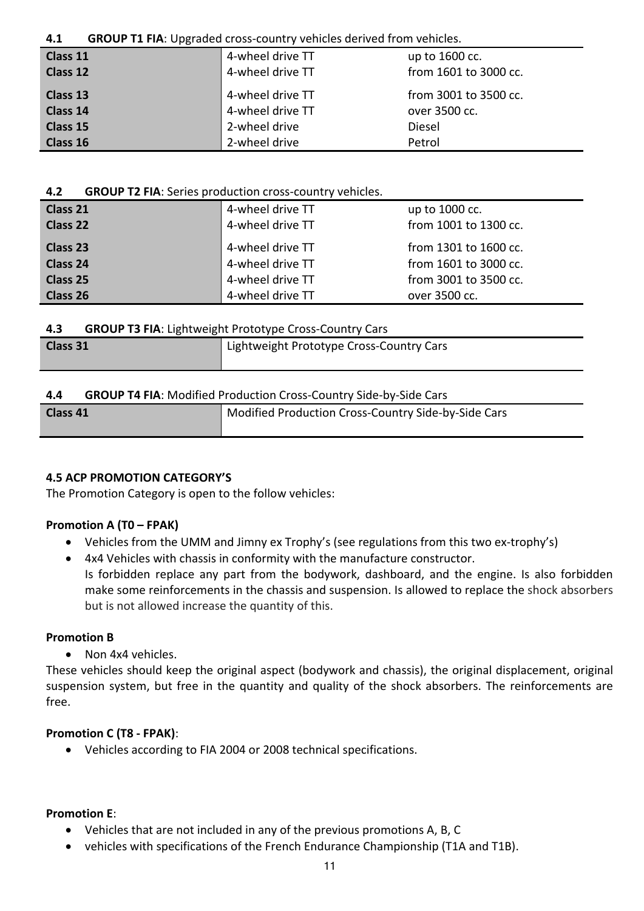# **4.1 GROUP T1 FIA**: Upgraded cross-country vehicles derived from vehicles.

| . .                  |                                      |                                         |
|----------------------|--------------------------------------|-----------------------------------------|
| Class 11<br>Class 12 | 4-wheel drive TT<br>4-wheel drive TT | up to 1600 cc.<br>from 1601 to 3000 cc. |
|                      |                                      |                                         |
| Class 13             | 4-wheel drive TT                     | from 3001 to 3500 cc.                   |
| Class 14             | 4-wheel drive TT                     | over 3500 cc.                           |
| Class 15             | 2-wheel drive                        | Diesel                                  |
| Class 16             | 2-wheel drive                        | Petrol                                  |

#### **4.2 GROUP T2 FIA**: Series production cross-country vehicles.

| Class 21<br>Class 22 | 4-wheel drive TT<br>4-wheel drive TT | up to 1000 cc.<br>from 1001 to 1300 cc. |
|----------------------|--------------------------------------|-----------------------------------------|
| Class 23             | 4-wheel drive TT                     | from 1301 to 1600 cc.                   |
| Class 24             | 4-wheel drive TT                     | from 1601 to 3000 cc.                   |
| Class 25             | 4-wheel drive TT                     | from 3001 to 3500 cc.                   |
| Class 26             | 4-wheel drive TT                     | over 3500 cc.                           |

# **4.3 GROUP T3 FIA**: Lightweight Prototype Cross-Country Cars

| Class 31 |  | Lightweight Prototype Cross-Country Cars |  |  |
|----------|--|------------------------------------------|--|--|
|          |  |                                          |  |  |

# **4.4 GROUP T4 FIA**: Modified Production Cross-Country Side-by-Side Cars

| Class 41 | Modified Production Cross-Country Side-by-Side Cars |
|----------|-----------------------------------------------------|
|          |                                                     |

# **4.5 ACP PROMOTION CATEGORY'S**

The Promotion Category is open to the follow vehicles:

but is not allowed increase the quantity of this.

# **Promotion A (T0 – FPAK)**

- Vehicles from the UMM and Jimny ex Trophy's (see regulations from this two ex-trophy's)
- 4x4 Vehicles with chassis in conformity with the manufacture constructor. Is forbidden replace any part from the bodywork, dashboard, and the engine. Is also forbidden make some reinforcements in the chassis and suspension. Is allowed to replace the shock absorbers

# **Promotion B**

• Non 4x4 vehicles.

These vehicles should keep the original aspect (bodywork and chassis), the original displacement, original suspension system, but free in the quantity and quality of the shock absorbers. The reinforcements are free.

# **Promotion C (T8 - FPAK)**:

• Vehicles according to FIA 2004 or 2008 technical specifications.

#### **Promotion E**:

- Vehicles that are not included in any of the previous promotions A, B, C
- vehicles with specifications of the French Endurance Championship (T1A and T1B).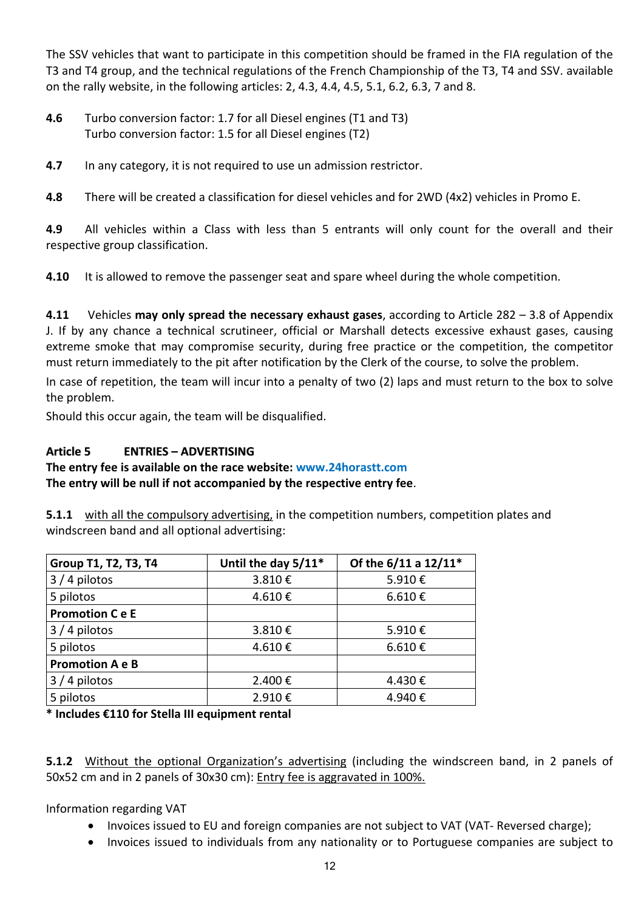The SSV vehicles that want to participate in this competition should be framed in the FIA regulation of the T3 and T4 group, and the technical regulations of the French Championship of the T3, T4 and SSV. available on the rally website, in the following articles: 2, 4.3, 4.4, 4.5, 5.1, 6.2, 6.3, 7 and 8.

- **4.6** Turbo conversion factor: 1.7 for all Diesel engines (T1 and T3) Turbo conversion factor: 1.5 for all Diesel engines (T2)
- **4.7** In any category, it is not required to use un admission restrictor.

**4.8** There will be created a classification for diesel vehicles and for 2WD (4x2) vehicles in Promo E.

**4.9** All vehicles within a Class with less than 5 entrants will only count for the overall and their respective group classification.

**4.10** It is allowed to remove the passenger seat and spare wheel during the whole competition.

**4.11** Vehicles **may only spread the necessary exhaust gases**, according to Article 282 – 3.8 of Appendix J. If by any chance a technical scrutineer, official or Marshall detects excessive exhaust gases, causing extreme smoke that may compromise security, during free practice or the competition, the competitor must return immediately to the pit after notification by the Clerk of the course, to solve the problem.

In case of repetition, the team will incur into a penalty of two (2) laps and must return to the box to solve the problem.

Should this occur again, the team will be disqualified.

# **Article 5 ENTRIES – ADVERTISING**

**The entry fee is available on the race website: www.24horastt.com The entry will be null if not accompanied by the respective entry fee**.

**5.1.1** with all the compulsory advertising, in the competition numbers, competition plates and windscreen band and all optional advertising:

| Group T1, T2, T3, T4   | Until the day 5/11* | Of the 6/11 a 12/11* |
|------------------------|---------------------|----------------------|
| 3 / 4 pilotos          | 3.810€              | 5.910€               |
| 5 pilotos              | 4.610€              | 6.610€               |
| <b>Promotion C e E</b> |                     |                      |
| 3 / 4 pilotos          | 3.810€              | 5.910€               |
| 5 pilotos              | 4.610€              | 6.610€               |
| <b>Promotion A e B</b> |                     |                      |
| 3 / 4 pilotos          | 2.400€              | 4.430€               |
| 5 pilotos              | 2.910€              | 4.940€               |

**\* Includes €110 for Stella III equipment rental**

**5.1.2** Without the optional Organization's advertising (including the windscreen band, in 2 panels of 50x52 cm and in 2 panels of 30x30 cm): Entry fee is aggravated in 100%.

Information regarding VAT

- Invoices issued to EU and foreign companies are not subject to VAT (VAT- Reversed charge);
- Invoices issued to individuals from any nationality or to Portuguese companies are subject to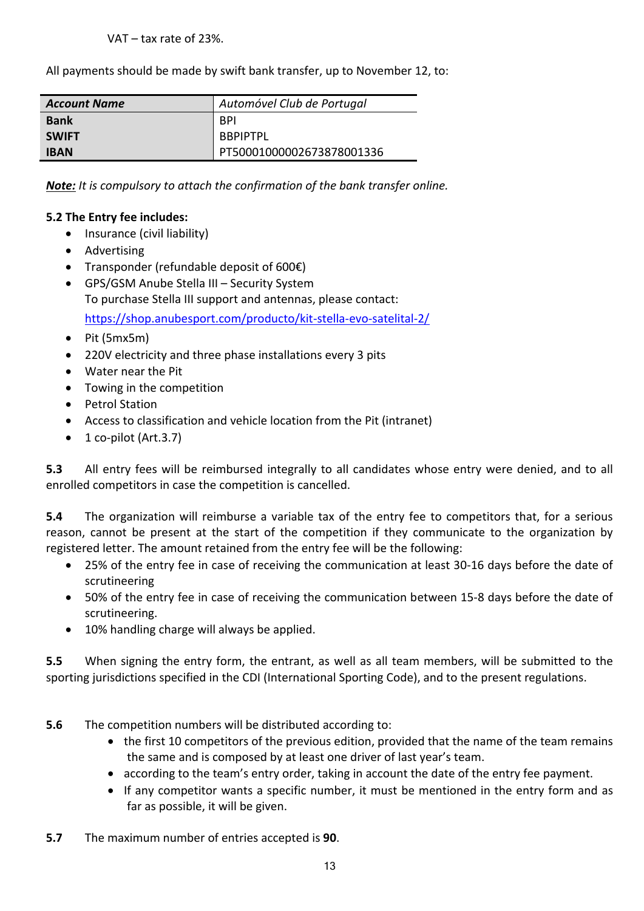All payments should be made by swift bank transfer, up to November 12, to:

| <b>Account Name</b> | Automóvel Club de Portugal |  |
|---------------------|----------------------------|--|
| <b>Bank</b>         | <b>BPI</b>                 |  |
| <b>SWIFT</b>        | <b>BBPIPTPL</b>            |  |
| <b>IBAN</b>         | PT50001000002673878001336  |  |

*Note: It is compulsory to attach the confirmation of the bank transfer online.*

# **5.2 The Entry fee includes:**

- Insurance (civil liability)
- Advertising
- Transponder (refundable deposit of 600€)
- GPS/GSM Anube Stella III Security System To purchase Stella III support and antennas, please contact:

<https://shop.anubesport.com/producto/kit-stella-evo-satelital-2/>

- Pit (5mx5m)
- 220V electricity and three phase installations every 3 pits
- Water near the Pit
- Towing in the competition
- Petrol Station
- Access to classification and vehicle location from the Pit (intranet)
- 1 co-pilot (Art.3.7)

**5.3** All entry fees will be reimbursed integrally to all candidates whose entry were denied, and to all enrolled competitors in case the competition is cancelled.

**5.4** The organization will reimburse a variable tax of the entry fee to competitors that, for a serious reason, cannot be present at the start of the competition if they communicate to the organization by registered letter. The amount retained from the entry fee will be the following:

- 25% of the entry fee in case of receiving the communication at least 30-16 days before the date of scrutineering
- 50% of the entry fee in case of receiving the communication between 15-8 days before the date of scrutineering.
- 10% handling charge will always be applied.

**5.5** When signing the entry form, the entrant, as well as all team members, will be submitted to the sporting jurisdictions specified in the CDI (International Sporting Code), and to the present regulations.

- **5.6** The competition numbers will be distributed according to:
	- the first 10 competitors of the previous edition, provided that the name of the team remains the same and is composed by at least one driver of last year's team.
	- according to the team's entry order, taking in account the date of the entry fee payment.
	- If any competitor wants a specific number, it must be mentioned in the entry form and as far as possible, it will be given.
- **5.7** The maximum number of entries accepted is **90**.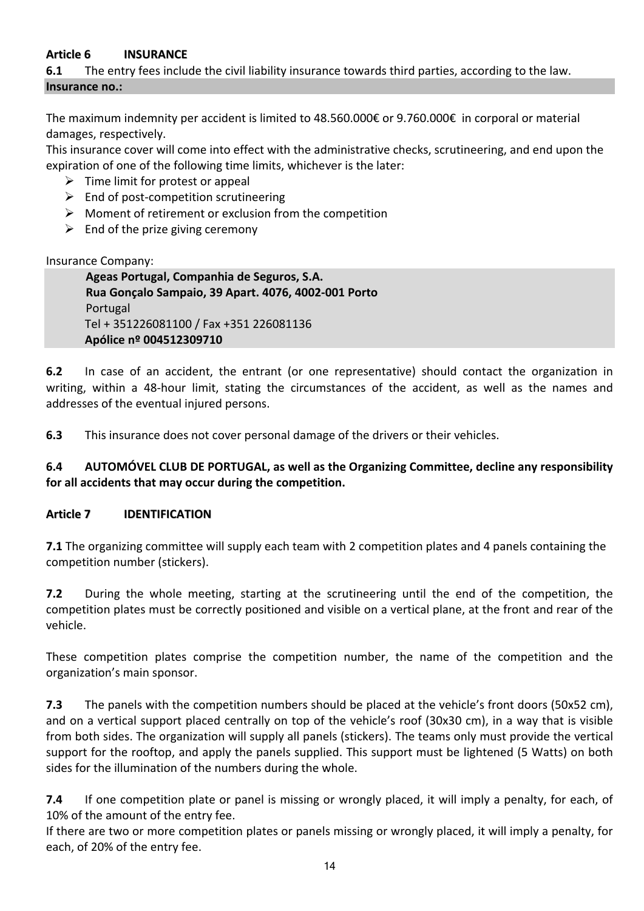# **Article 6 INSURANCE**

**6.1** The entry fees include the civil liability insurance towards third parties, according to the law.

# **Insurance no.:**

The maximum indemnity per accident is limited to 48.560.000€ or 9.760.000€ in corporal or material damages, respectively.

This insurance cover will come into effect with the administrative checks, scrutineering, and end upon the expiration of one of the following time limits, whichever is the later:

- $\triangleright$  Time limit for protest or appeal
- $\triangleright$  End of post-competition scrutineering
- $\triangleright$  Moment of retirement or exclusion from the competition
- $\triangleright$  End of the prize giving ceremony

Insurance Company:

**Ageas Portugal, Companhia de Seguros, S.A. Rua Gonçalo Sampaio, 39 Apart. 4076, 4002-001 Porto** Portugal Tel + 351226081100 / Fax +351 226081136 **Apólice nº 004512309710**

**6.2** In case of an accident, the entrant (or one representative) should contact the organization in writing, within a 48-hour limit, stating the circumstances of the accident, as well as the names and addresses of the eventual injured persons.

**6.3** This insurance does not cover personal damage of the drivers or their vehicles.

**6.4 AUTOMÓVEL CLUB DE PORTUGAL, as well as the Organizing Committee, decline any responsibility for all accidents that may occur during the competition.**

#### **Article 7 IDENTIFICATION**

**7.1** The organizing committee will supply each team with 2 competition plates and 4 panels containing the competition number (stickers).

**7.2** During the whole meeting, starting at the scrutineering until the end of the competition, the competition plates must be correctly positioned and visible on a vertical plane, at the front and rear of the vehicle.

These competition plates comprise the competition number, the name of the competition and the organization's main sponsor.

**7.3** The panels with the competition numbers should be placed at the vehicle's front doors (50x52 cm), and on a vertical support placed centrally on top of the vehicle's roof (30x30 cm), in a way that is visible from both sides. The organization will supply all panels (stickers). The teams only must provide the vertical support for the rooftop, and apply the panels supplied. This support must be lightened (5 Watts) on both sides for the illumination of the numbers during the whole.

**7.4** If one competition plate or panel is missing or wrongly placed, it will imply a penalty, for each, of 10% of the amount of the entry fee.

If there are two or more competition plates or panels missing or wrongly placed, it will imply a penalty, for each, of 20% of the entry fee.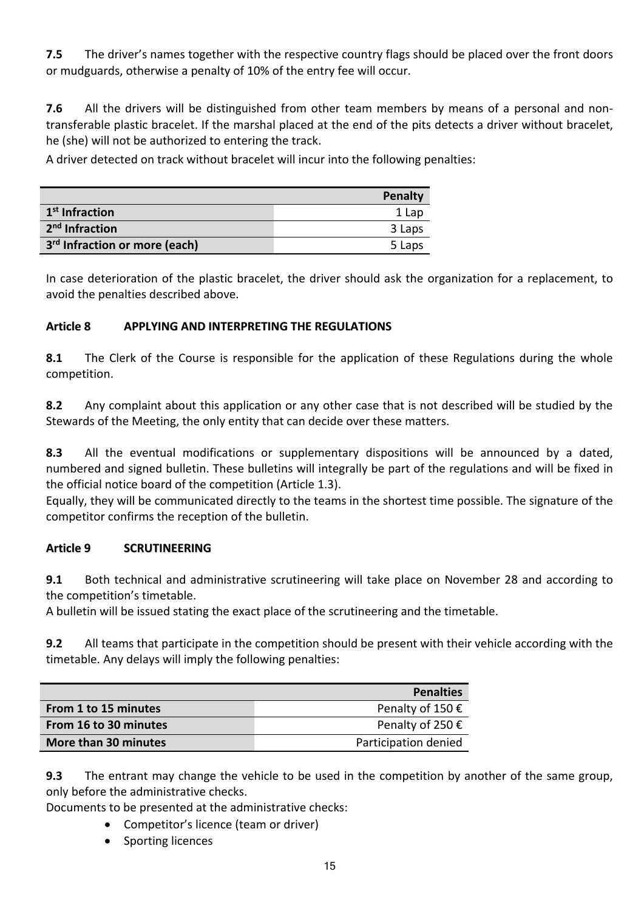**7.5** The driver's names together with the respective country flags should be placed over the front doors or mudguards, otherwise a penalty of 10% of the entry fee will occur.

**7.6** All the drivers will be distinguished from other team members by means of a personal and nontransferable plastic bracelet. If the marshal placed at the end of the pits detects a driver without bracelet, he (she) will not be authorized to entering the track.

A driver detected on track without bracelet will incur into the following penalties:

|                                           | Penalty |
|-------------------------------------------|---------|
| 1 <sup>st</sup> Infraction                | 1 Lap   |
| 2 <sup>nd</sup> Infraction                | 3 Laps  |
| 3 <sup>rd</sup> Infraction or more (each) | 5 Laps  |

In case deterioration of the plastic bracelet, the driver should ask the organization for a replacement, to avoid the penalties described above.

# **Article 8 APPLYING AND INTERPRETING THE REGULATIONS**

**8.1** The Clerk of the Course is responsible for the application of these Regulations during the whole competition.

**8.2** Any complaint about this application or any other case that is not described will be studied by the Stewards of the Meeting, the only entity that can decide over these matters.

**8.3** All the eventual modifications or supplementary dispositions will be announced by a dated, numbered and signed bulletin. These bulletins will integrally be part of the regulations and will be fixed in the official notice board of the competition (Article 1.3).

Equally, they will be communicated directly to the teams in the shortest time possible. The signature of the competitor confirms the reception of the bulletin.

# **Article 9 SCRUTINEERING**

**9.1** Both technical and administrative scrutineering will take place on November 28 and according to the competition's timetable.

A bulletin will be issued stating the exact place of the scrutineering and the timetable.

**9.2** All teams that participate in the competition should be present with their vehicle according with the timetable. Any delays will imply the following penalties:

|                       | <b>Penalties</b>     |
|-----------------------|----------------------|
| From 1 to 15 minutes  | Penalty of 150 €     |
| From 16 to 30 minutes | Penalty of 250 €     |
| More than 30 minutes  | Participation denied |

**9.3** The entrant may change the vehicle to be used in the competition by another of the same group, only before the administrative checks.

Documents to be presented at the administrative checks:

- Competitor's licence (team or driver)
- Sporting licences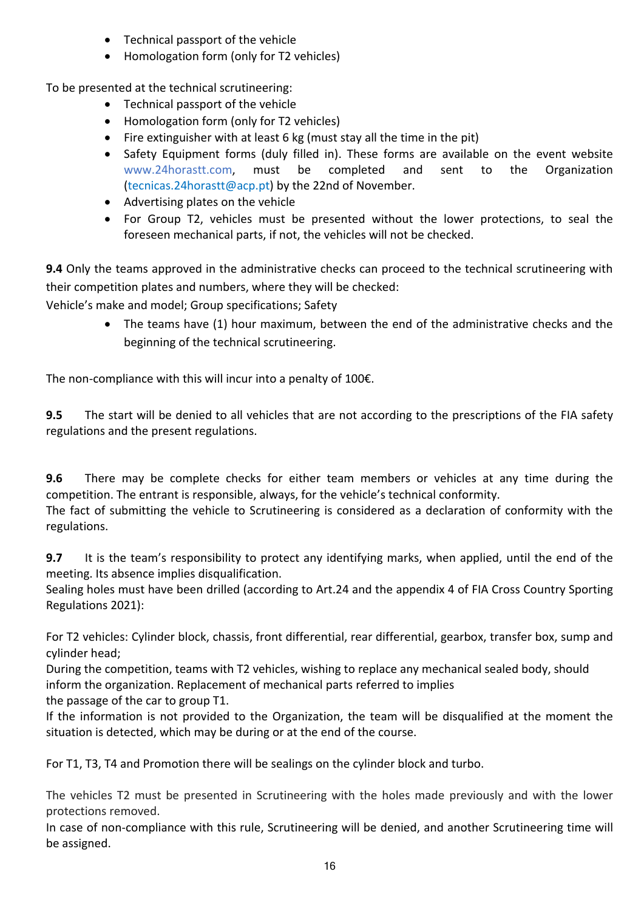- Technical passport of the vehicle
- Homologation form (only for T2 vehicles)

To be presented at the technical scrutineering:

- Technical passport of the vehicle
- Homologation form (only for T2 vehicles)
- Fire extinguisher with at least 6 kg (must stay all the time in the pit)
- Safety Equipment forms (duly filled in). These forms are available on the event website www.24horastt.com, must be completed and sent to the Organization (tecnicas.24horastt@acp.pt) by the 22nd of November.
- Advertising plates on the vehicle
- For Group T2, vehicles must be presented without the lower protections, to seal the foreseen mechanical parts, if not, the vehicles will not be checked.

**9.4** Only the teams approved in the administrative checks can proceed to the technical scrutineering with their competition plates and numbers, where they will be checked:

Vehicle's make and model; Group specifications; Safety

• The teams have (1) hour maximum, between the end of the administrative checks and the beginning of the technical scrutineering.

The non-compliance with this will incur into a penalty of 100€.

**9.5** The start will be denied to all vehicles that are not according to the prescriptions of the FIA safety regulations and the present regulations.

**9.6** There may be complete checks for either team members or vehicles at any time during the competition. The entrant is responsible, always, for the vehicle's technical conformity.

The fact of submitting the vehicle to Scrutineering is considered as a declaration of conformity with the regulations.

**9.7** It is the team's responsibility to protect any identifying marks, when applied, until the end of the meeting. Its absence implies disqualification.

Sealing holes must have been drilled (according to Art.24 and the appendix 4 of FIA Cross Country Sporting Regulations 2021):

For T2 vehicles: Cylinder block, chassis, front differential, rear differential, gearbox, transfer box, sump and cylinder head;

During the competition, teams with T2 vehicles, wishing to replace any mechanical sealed body, should inform the organization. Replacement of mechanical parts referred to implies

the passage of the car to group T1.

If the information is not provided to the Organization, the team will be disqualified at the moment the situation is detected, which may be during or at the end of the course.

For T1, T3, T4 and Promotion there will be sealings on the cylinder block and turbo.

The vehicles T2 must be presented in Scrutineering with the holes made previously and with the lower protections removed.

In case of non-compliance with this rule, Scrutineering will be denied, and another Scrutineering time will be assigned.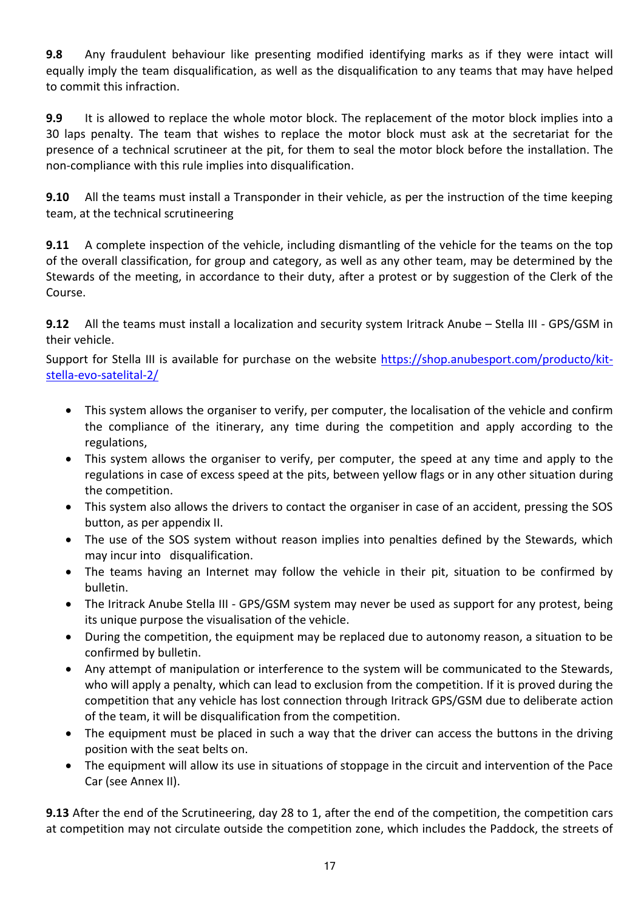**9.8** Any fraudulent behaviour like presenting modified identifying marks as if they were intact will equally imply the team disqualification, as well as the disqualification to any teams that may have helped to commit this infraction.

**9.9** It is allowed to replace the whole motor block. The replacement of the motor block implies into a 30 laps penalty. The team that wishes to replace the motor block must ask at the secretariat for the presence of a technical scrutineer at the pit, for them to seal the motor block before the installation. The non-compliance with this rule implies into disqualification.

**9.10** All the teams must install a Transponder in their vehicle, as per the instruction of the time keeping team, at the technical scrutineering

**9.11** A complete inspection of the vehicle, including dismantling of the vehicle for the teams on the top of the overall classification, for group and category, as well as any other team, may be determined by the Stewards of the meeting, in accordance to their duty, after a protest or by suggestion of the Clerk of the Course.

**9.12** All the teams must install a localization and security system Iritrack Anube – Stella III - GPS/GSM in their vehicle.

Support for Stella III is available for purchase on the website [https://shop.anubesport.com/producto/kit](https://shop.anubesport.com/producto/kit-stella-evo-satelital-2/)[stella-evo-satelital-2/](https://shop.anubesport.com/producto/kit-stella-evo-satelital-2/)

- This system allows the organiser to verify, per computer, the localisation of the vehicle and confirm the compliance of the itinerary, any time during the competition and apply according to the regulations,
- This system allows the organiser to verify, per computer, the speed at any time and apply to the regulations in case of excess speed at the pits, between yellow flags or in any other situation during the competition.
- This system also allows the drivers to contact the organiser in case of an accident, pressing the SOS button, as per appendix II.
- The use of the SOS system without reason implies into penalties defined by the Stewards, which may incur into disqualification.
- The teams having an Internet may follow the vehicle in their pit, situation to be confirmed by bulletin.
- The Iritrack Anube Stella III GPS/GSM system may never be used as support for any protest, being its unique purpose the visualisation of the vehicle.
- During the competition, the equipment may be replaced due to autonomy reason, a situation to be confirmed by bulletin.
- Any attempt of manipulation or interference to the system will be communicated to the Stewards, who will apply a penalty, which can lead to exclusion from the competition. If it is proved during the competition that any vehicle has lost connection through Iritrack GPS/GSM due to deliberate action of the team, it will be disqualification from the competition.
- The equipment must be placed in such a way that the driver can access the buttons in the driving position with the seat belts on.
- The equipment will allow its use in situations of stoppage in the circuit and intervention of the Pace Car (see Annex II).

**9.13** After the end of the Scrutineering, day 28 to 1, after the end of the competition, the competition cars at competition may not circulate outside the competition zone, which includes the Paddock, the streets of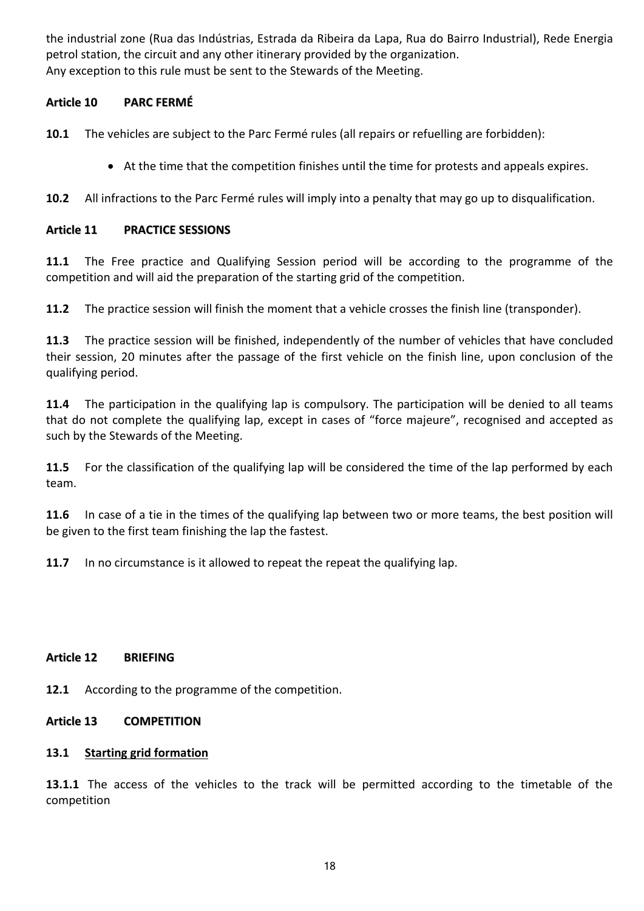the industrial zone (Rua das Indústrias, Estrada da Ribeira da Lapa, Rua do Bairro Industrial), Rede Energia petrol station, the circuit and any other itinerary provided by the organization. Any exception to this rule must be sent to the Stewards of the Meeting.

# **Article 10 PARC FERMÉ**

**10.1** The vehicles are subject to the Parc Fermé rules (all repairs or refuelling are forbidden):

• At the time that the competition finishes until the time for protests and appeals expires.

**10.2** All infractions to the Parc Fermé rules will imply into a penalty that may go up to disqualification.

#### **Article 11 PRACTICE SESSIONS**

**11.1** The Free practice and Qualifying Session period will be according to the programme of the competition and will aid the preparation of the starting grid of the competition.

**11.2** The practice session will finish the moment that a vehicle crosses the finish line (transponder).

**11.3** The practice session will be finished, independently of the number of vehicles that have concluded their session, 20 minutes after the passage of the first vehicle on the finish line, upon conclusion of the qualifying period.

**11.4** The participation in the qualifying lap is compulsory. The participation will be denied to all teams that do not complete the qualifying lap, except in cases of "force majeure", recognised and accepted as such by the Stewards of the Meeting.

**11.5** For the classification of the qualifying lap will be considered the time of the lap performed by each team.

**11.6** In case of a tie in the times of the qualifying lap between two or more teams, the best position will be given to the first team finishing the lap the fastest.

**11.7** In no circumstance is it allowed to repeat the repeat the qualifying lap.

#### **Article 12 BRIEFING**

**12.1** According to the programme of the competition.

#### **Article 13 COMPETITION**

#### **13.1 Starting grid formation**

**13.1.1** The access of the vehicles to the track will be permitted according to the timetable of the competition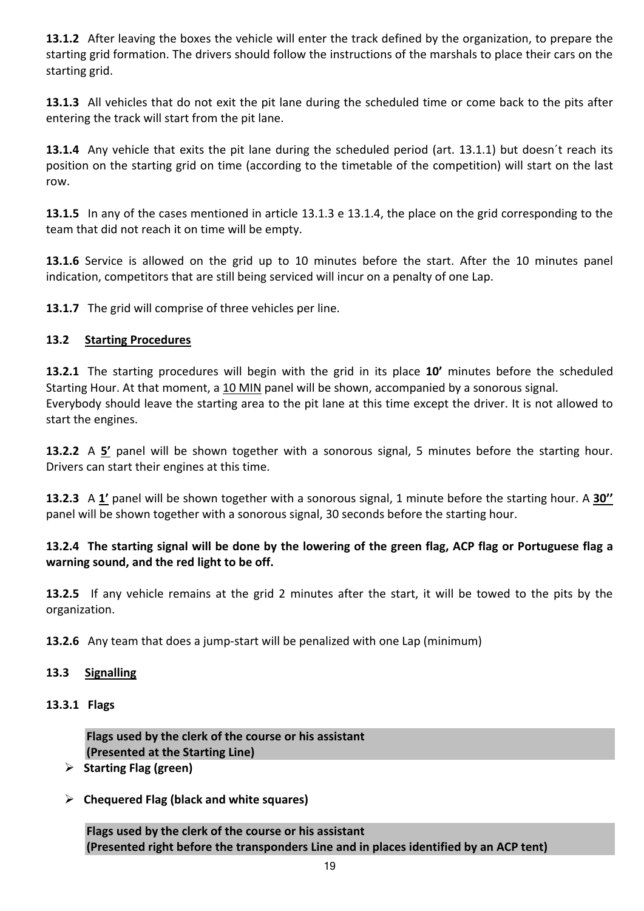**13.1.2** After leaving the boxes the vehicle will enter the track defined by the organization, to prepare the starting grid formation. The drivers should follow the instructions of the marshals to place their cars on the starting grid.

**13.1.3** All vehicles that do not exit the pit lane during the scheduled time or come back to the pits after entering the track will start from the pit lane.

**13.1.4** Any vehicle that exits the pit lane during the scheduled period (art. 13.1.1) but doesn´t reach its position on the starting grid on time (according to the timetable of the competition) will start on the last row.

**13.1.5** In any of the cases mentioned in article 13.1.3 e 13.1.4, the place on the grid corresponding to the team that did not reach it on time will be empty.

**13.1.6** Service is allowed on the grid up to 10 minutes before the start. After the 10 minutes panel indication, competitors that are still being serviced will incur on a penalty of one Lap.

**13.1.7** The grid will comprise of three vehicles per line.

# **13.2 Starting Procedures**

**13.2.1** The starting procedures will begin with the grid in its place **10'** minutes before the scheduled Starting Hour. At that moment, a 10 MIN panel will be shown, accompanied by a sonorous signal. Everybody should leave the starting area to the pit lane at this time except the driver. It is not allowed to start the engines.

**13.2.2** A **5'** panel will be shown together with a sonorous signal, 5 minutes before the starting hour. Drivers can start their engines at this time.

**13.2.3** A **1'** panel will be shown together with a sonorous signal, 1 minute before the starting hour. A **30''** panel will be shown together with a sonorous signal, 30 seconds before the starting hour.

# **13.2.4 The starting signal will be done by the lowering of the green flag, ACP flag or Portuguese flag a warning sound, and the red light to be off.**

**13.2.5** If any vehicle remains at the grid 2 minutes after the start, it will be towed to the pits by the organization.

**13.2.6** Any team that does a jump-start will be penalized with one Lap (minimum)

# **13.3 Signalling**

#### **13.3.1 Flags**

**Flags used by the clerk of the course or his assistant (Presented at the Starting Line)**

- ➢ **Starting Flag (green)**
- ➢ **Chequered Flag (black and white squares)**

**Flags used by the clerk of the course or his assistant (Presented right before the transponders Line and in places identified by an ACP tent)**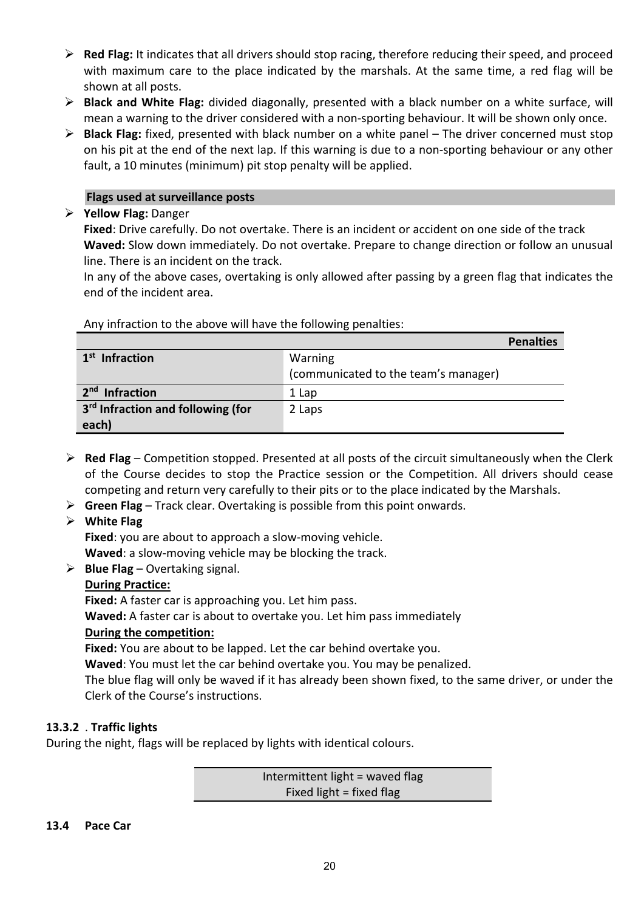- ➢ **Red Flag:** It indicates that all drivers should stop racing, therefore reducing their speed, and proceed with maximum care to the place indicated by the marshals. At the same time, a red flag will be shown at all posts.
- ➢ **Black and White Flag:** divided diagonally, presented with a black number on a white surface, will mean a warning to the driver considered with a non-sporting behaviour. It will be shown only once.
- ➢ **Black Flag:** fixed, presented with black number on a white panel The driver concerned must stop on his pit at the end of the next lap. If this warning is due to a non-sporting behaviour or any other fault, a 10 minutes (minimum) pit stop penalty will be applied.

# **Flags used at surveillance posts**

#### ➢ **Yellow Flag:** Danger

**Fixed**: Drive carefully. Do not overtake. There is an incident or accident on one side of the track **Waved:** Slow down immediately. Do not overtake. Prepare to change direction or follow an unusual line. There is an incident on the track.

In any of the above cases, overtaking is only allowed after passing by a green flag that indicates the end of the incident area.

|                                               |                                      | Penalties |
|-----------------------------------------------|--------------------------------------|-----------|
| 1 <sup>st</sup> Infraction                    | Warning                              |           |
|                                               | (communicated to the team's manager) |           |
| 2 <sup>nd</sup> Infraction                    | 1 Lap                                |           |
| 3 <sup>rd</sup> Infraction and following (for | 2 Laps                               |           |
| each)                                         |                                      |           |

Any infraction to the above will have the following penalties:

- ➢ **Red Flag** Competition stopped. Presented at all posts of the circuit simultaneously when the Clerk of the Course decides to stop the Practice session or the Competition. All drivers should cease competing and return very carefully to their pits or to the place indicated by the Marshals.
- ➢ **Green Flag** Track clear. Overtaking is possible from this point onwards.

# ➢ **White Flag**

**Fixed**: you are about to approach a slow-moving vehicle.

**Waved**: a slow-moving vehicle may be blocking the track.

➢ **Blue Flag** – Overtaking signal.

# **During Practice:**

**Fixed:** A faster car is approaching you. Let him pass.

**Waved:** A faster car is about to overtake you. Let him pass immediately

# **During the competition:**

**Fixed:** You are about to be lapped. Let the car behind overtake you.

**Waved**: You must let the car behind overtake you. You may be penalized.

The blue flag will only be waved if it has already been shown fixed, to the same driver, or under the Clerk of the Course's instructions.

# **13.3.2** . **Traffic lights**

During the night, flags will be replaced by lights with identical colours.

Intermittent light = waved flag Fixed light  $=$  fixed flag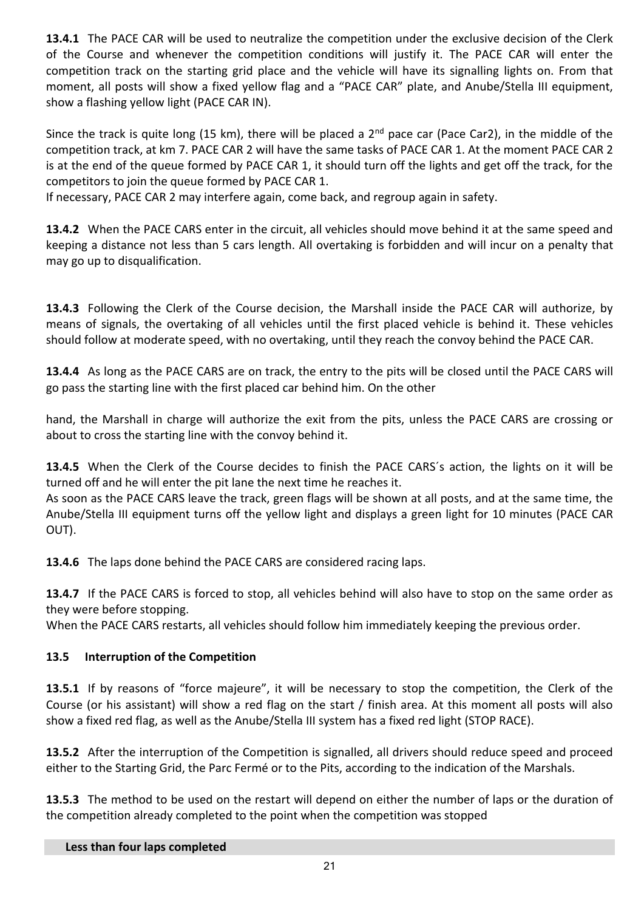**13.4.1** The PACE CAR will be used to neutralize the competition under the exclusive decision of the Clerk of the Course and whenever the competition conditions will justify it. The PACE CAR will enter the competition track on the starting grid place and the vehicle will have its signalling lights on. From that moment, all posts will show a fixed yellow flag and a "PACE CAR" plate, and Anube/Stella III equipment, show a flashing yellow light (PACE CAR IN).

Since the track is quite long (15 km), there will be placed a  $2^{nd}$  pace car (Pace Car2), in the middle of the competition track, at km 7. PACE CAR 2 will have the same tasks of PACE CAR 1. At the moment PACE CAR 2 is at the end of the queue formed by PACE CAR 1, it should turn off the lights and get off the track, for the competitors to join the queue formed by PACE CAR 1.

If necessary, PACE CAR 2 may interfere again, come back, and regroup again in safety.

**13.4.2** When the PACE CARS enter in the circuit, all vehicles should move behind it at the same speed and keeping a distance not less than 5 cars length. All overtaking is forbidden and will incur on a penalty that may go up to disqualification.

**13.4.3** Following the Clerk of the Course decision, the Marshall inside the PACE CAR will authorize, by means of signals, the overtaking of all vehicles until the first placed vehicle is behind it. These vehicles should follow at moderate speed, with no overtaking, until they reach the convoy behind the PACE CAR.

**13.4.4** As long as the PACE CARS are on track, the entry to the pits will be closed until the PACE CARS will go pass the starting line with the first placed car behind him. On the other

hand, the Marshall in charge will authorize the exit from the pits, unless the PACE CARS are crossing or about to cross the starting line with the convoy behind it.

**13.4.5** When the Clerk of the Course decides to finish the PACE CARS´s action, the lights on it will be turned off and he will enter the pit lane the next time he reaches it.

As soon as the PACE CARS leave the track, green flags will be shown at all posts, and at the same time, the Anube/Stella III equipment turns off the yellow light and displays a green light for 10 minutes (PACE CAR OUT).

**13.4.6** The laps done behind the PACE CARS are considered racing laps.

**13.4.7** If the PACE CARS is forced to stop, all vehicles behind will also have to stop on the same order as they were before stopping.

When the PACE CARS restarts, all vehicles should follow him immediately keeping the previous order.

# **13.5 Interruption of the Competition**

**13.5.1** If by reasons of "force majeure", it will be necessary to stop the competition, the Clerk of the Course (or his assistant) will show a red flag on the start / finish area. At this moment all posts will also show a fixed red flag, as well as the Anube/Stella III system has a fixed red light (STOP RACE).

**13.5.2** After the interruption of the Competition is signalled, all drivers should reduce speed and proceed either to the Starting Grid, the Parc Fermé or to the Pits, according to the indication of the Marshals.

**13.5.3** The method to be used on the restart will depend on either the number of laps or the duration of the competition already completed to the point when the competition was stopped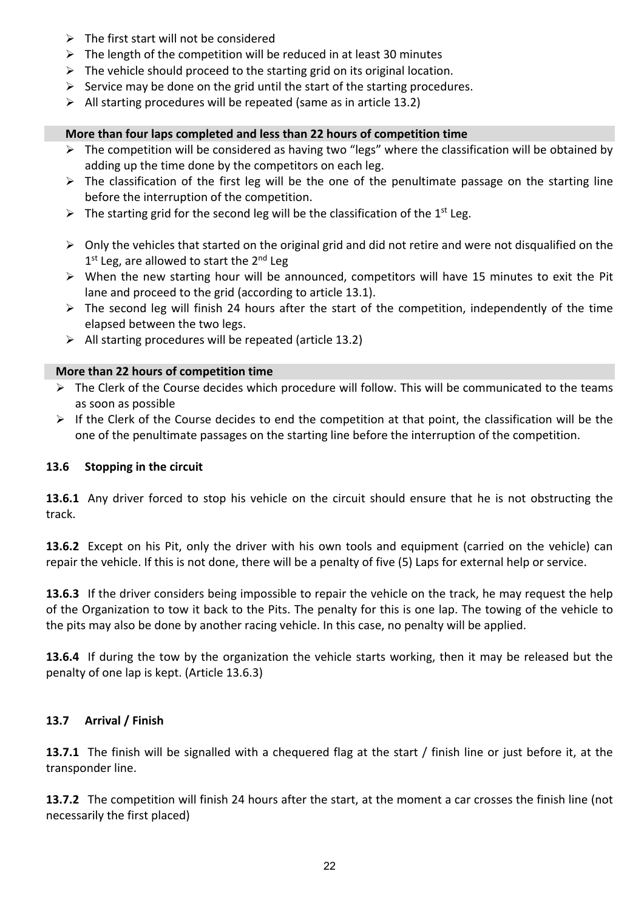- $\triangleright$  The first start will not be considered
- $\triangleright$  The length of the competition will be reduced in at least 30 minutes
- $\triangleright$  The vehicle should proceed to the starting grid on its original location.
- $\triangleright$  Service may be done on the grid until the start of the starting procedures.
- $\triangleright$  All starting procedures will be repeated (same as in article 13.2)

# **More than four laps completed and less than 22 hours of competition time**

- $\triangleright$  The competition will be considered as having two "legs" where the classification will be obtained by adding up the time done by the competitors on each leg.
- $\triangleright$  The classification of the first leg will be the one of the penultimate passage on the starting line before the interruption of the competition.
- $\triangleright$  The starting grid for the second leg will be the classification of the 1<sup>st</sup> Leg.
- $\triangleright$  Only the vehicles that started on the original grid and did not retire and were not disqualified on the 1<sup>st</sup> Leg, are allowed to start the 2<sup>nd</sup> Leg
- ➢ When the new starting hour will be announced, competitors will have 15 minutes to exit the Pit lane and proceed to the grid (according to article 13.1).
- ➢ The second leg will finish 24 hours after the start of the competition, independently of the time elapsed between the two legs.
- ➢ All starting procedures will be repeated (article 13.2)

# **More than 22 hours of competition time**

- $\triangleright$  The Clerk of the Course decides which procedure will follow. This will be communicated to the teams as soon as possible
- ➢ If the Clerk of the Course decides to end the competition at that point, the classification will be the one of the penultimate passages on the starting line before the interruption of the competition.

# **13.6 Stopping in the circuit**

**13.6.1** Any driver forced to stop his vehicle on the circuit should ensure that he is not obstructing the track.

**13.6.2** Except on his Pit, only the driver with his own tools and equipment (carried on the vehicle) can repair the vehicle. If this is not done, there will be a penalty of five (5) Laps for external help or service.

**13.6.3** If the driver considers being impossible to repair the vehicle on the track, he may request the help of the Organization to tow it back to the Pits. The penalty for this is one lap. The towing of the vehicle to the pits may also be done by another racing vehicle. In this case, no penalty will be applied.

**13.6.4** If during the tow by the organization the vehicle starts working, then it may be released but the penalty of one lap is kept. (Article 13.6.3)

# **13.7 Arrival / Finish**

**13.7.1** The finish will be signalled with a chequered flag at the start / finish line or just before it, at the transponder line.

**13.7.2** The competition will finish 24 hours after the start, at the moment a car crosses the finish line (not necessarily the first placed)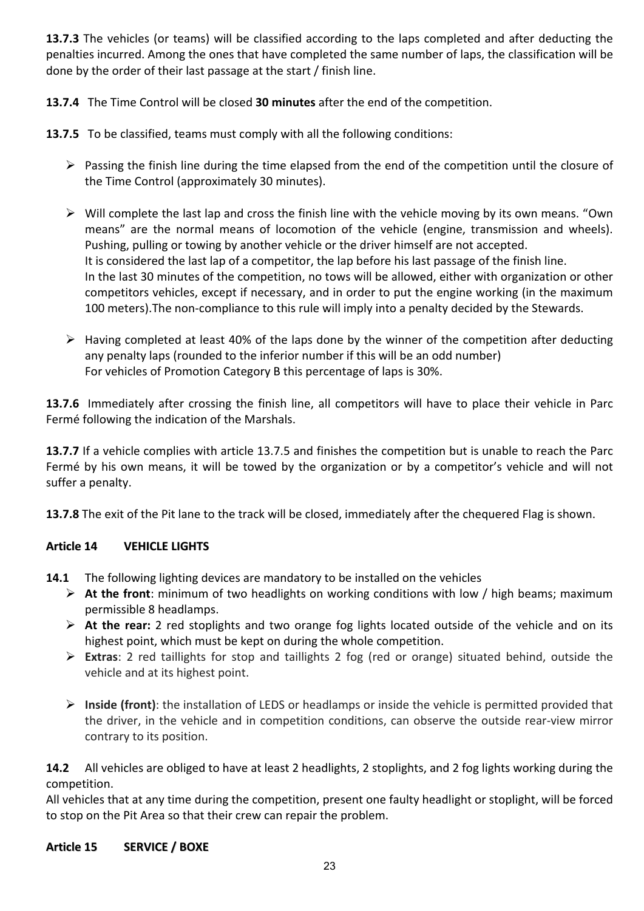**13.7.3** The vehicles (or teams) will be classified according to the laps completed and after deducting the penalties incurred. Among the ones that have completed the same number of laps, the classification will be done by the order of their last passage at the start / finish line.

**13.7.4** The Time Control will be closed **30 minutes** after the end of the competition.

**13.7.5** To be classified, teams must comply with all the following conditions:

- ➢ Passing the finish line during the time elapsed from the end of the competition until the closure of the Time Control (approximately 30 minutes).
- ➢ Will complete the last lap and cross the finish line with the vehicle moving by its own means. "Own means" are the normal means of locomotion of the vehicle (engine, transmission and wheels). Pushing, pulling or towing by another vehicle or the driver himself are not accepted. It is considered the last lap of a competitor, the lap before his last passage of the finish line. In the last 30 minutes of the competition, no tows will be allowed, either with organization or other competitors vehicles, except if necessary, and in order to put the engine working (in the maximum 100 meters).The non-compliance to this rule will imply into a penalty decided by the Stewards.
- $\triangleright$  Having completed at least 40% of the laps done by the winner of the competition after deducting any penalty laps (rounded to the inferior number if this will be an odd number) For vehicles of Promotion Category B this percentage of laps is 30%.

**13.7.6** Immediately after crossing the finish line, all competitors will have to place their vehicle in Parc Fermé following the indication of the Marshals.

**13.7.7** If a vehicle complies with article 13.7.5 and finishes the competition but is unable to reach the Parc Fermé by his own means, it will be towed by the organization or by a competitor's vehicle and will not suffer a penalty.

**13.7.8** The exit of the Pit lane to the track will be closed, immediately after the chequered Flag is shown.

# **Article 14 VEHICLE LIGHTS**

- **14.1** The following lighting devices are mandatory to be installed on the vehicles
	- ➢ **At the front**: minimum of two headlights on working conditions with low / high beams; maximum permissible 8 headlamps.
	- ➢ **At the rear:** 2 red stoplights and two orange fog lights located outside of the vehicle and on its highest point, which must be kept on during the whole competition.
	- ➢ **Extras**: 2 red taillights for stop and taillights 2 fog (red or orange) situated behind, outside the vehicle and at its highest point.
	- ➢ **Inside (front)**: the installation of LEDS or headlamps or inside the vehicle is permitted provided that the driver, in the vehicle and in competition conditions, can observe the outside rear-view mirror contrary to its position.

**14.2** All vehicles are obliged to have at least 2 headlights, 2 stoplights, and 2 fog lights working during the competition.

All vehicles that at any time during the competition, present one faulty headlight or stoplight, will be forced to stop on the Pit Area so that their crew can repair the problem.

# **Article 15 SERVICE / BOXE**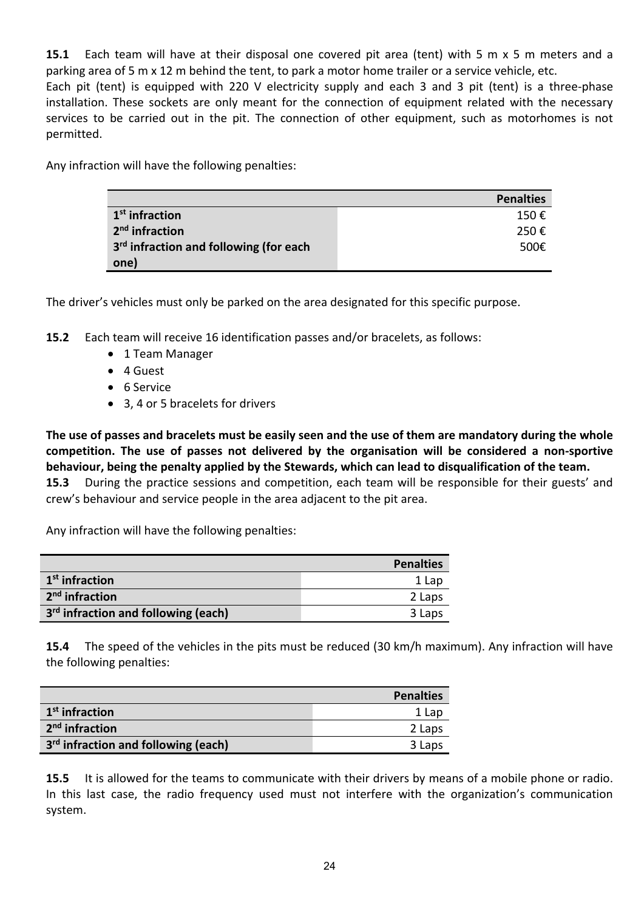**15.1** Each team will have at their disposal one covered pit area (tent) with 5 m x 5 m meters and a parking area of 5 m x 12 m behind the tent, to park a motor home trailer or a service vehicle, etc.

Each pit (tent) is equipped with 220 V electricity supply and each 3 and 3 pit (tent) is a three-phase installation. These sockets are only meant for the connection of equipment related with the necessary services to be carried out in the pit. The connection of other equipment, such as motorhomes is not permitted.

Any infraction will have the following penalties:

|                                                    | Penalties |
|----------------------------------------------------|-----------|
| 1 <sup>st</sup> infraction                         | 150€      |
| 2 <sup>nd</sup> infraction                         | 250 €     |
| 3 <sup>rd</sup> infraction and following (for each | 500€      |
| one)                                               |           |

The driver's vehicles must only be parked on the area designated for this specific purpose.

**15.2** Each team will receive 16 identification passes and/or bracelets, as follows:

- 1 Team Manager
- 4 Guest
- 6 Service
- 3, 4 or 5 bracelets for drivers

**The use of passes and bracelets must be easily seen and the use of them are mandatory during the whole competition. The use of passes not delivered by the organisation will be considered a non-sportive behaviour, being the penalty applied by the Stewards, which can lead to disqualification of the team.**

**15.3** During the practice sessions and competition, each team will be responsible for their guests' and crew's behaviour and service people in the area adjacent to the pit area.

Any infraction will have the following penalties:

|                                                 | <b>Penalties</b> |
|-------------------------------------------------|------------------|
| 1 <sup>st</sup> infraction                      | 1 Lap            |
| 2 <sup>nd</sup> infraction                      | 2 Laps           |
| 3 <sup>rd</sup> infraction and following (each) | 3 Laps           |

**15.4** The speed of the vehicles in the pits must be reduced (30 km/h maximum). Any infraction will have the following penalties:

|                                                 | <b>Penalties</b> |
|-------------------------------------------------|------------------|
| 1 <sup>st</sup> infraction                      | 1 Lap            |
| 2 <sup>nd</sup> infraction                      | 2 Laps           |
| 3 <sup>rd</sup> infraction and following (each) | 3 Laps           |

**15.5** It is allowed for the teams to communicate with their drivers by means of a mobile phone or radio. In this last case, the radio frequency used must not interfere with the organization's communication system.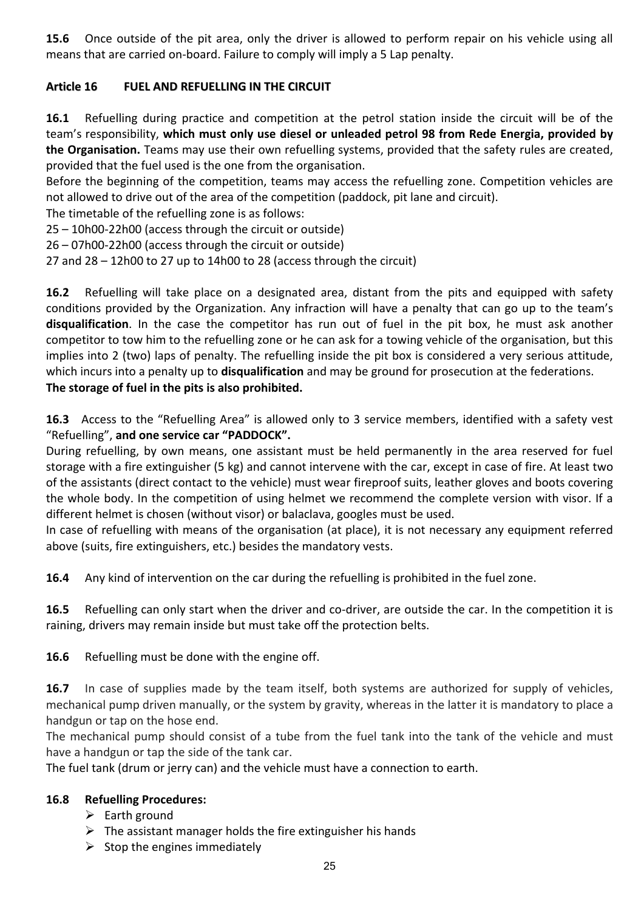**15.6** Once outside of the pit area, only the driver is allowed to perform repair on his vehicle using all means that are carried on-board. Failure to comply will imply a 5 Lap penalty.

# **Article 16 FUEL AND REFUELLING IN THE CIRCUIT**

**16.1** Refuelling during practice and competition at the petrol station inside the circuit will be of the team's responsibility, **which must only use diesel or unleaded petrol 98 from Rede Energia, provided by the Organisation.** Teams may use their own refuelling systems, provided that the safety rules are created, provided that the fuel used is the one from the organisation.

Before the beginning of the competition, teams may access the refuelling zone. Competition vehicles are not allowed to drive out of the area of the competition (paddock, pit lane and circuit).

The timetable of the refuelling zone is as follows:

25 – 10h00-22h00 (access through the circuit or outside)

26 – 07h00-22h00 (access through the circuit or outside)

27 and 28 – 12h00 to 27 up to 14h00 to 28 (access through the circuit)

**16.2** Refuelling will take place on a designated area, distant from the pits and equipped with safety conditions provided by the Organization. Any infraction will have a penalty that can go up to the team's **disqualification**. In the case the competitor has run out of fuel in the pit box, he must ask another competitor to tow him to the refuelling zone or he can ask for a towing vehicle of the organisation, but this implies into 2 (two) laps of penalty. The refuelling inside the pit box is considered a very serious attitude, which incurs into a penalty up to **disqualification** and may be ground for prosecution at the federations. **The storage of fuel in the pits is also prohibited.**

**16.3** Access to the "Refuelling Area" is allowed only to 3 service members, identified with a safety vest "Refuelling", **and one service car "PADDOCK".**

During refuelling, by own means, one assistant must be held permanently in the area reserved for fuel storage with a fire extinguisher (5 kg) and cannot intervene with the car, except in case of fire. At least two of the assistants (direct contact to the vehicle) must wear fireproof suits, leather gloves and boots covering the whole body. In the competition of using helmet we recommend the complete version with visor. If a different helmet is chosen (without visor) or balaclava, googles must be used.

In case of refuelling with means of the organisation (at place), it is not necessary any equipment referred above (suits, fire extinguishers, etc.) besides the mandatory vests.

**16.4** Any kind of intervention on the car during the refuelling is prohibited in the fuel zone.

**16.5** Refuelling can only start when the driver and co-driver, are outside the car. In the competition it is raining, drivers may remain inside but must take off the protection belts.

**16.6** Refuelling must be done with the engine off.

**16.7** In case of supplies made by the team itself, both systems are authorized for supply of vehicles, mechanical pump driven manually, or the system by gravity, whereas in the latter it is mandatory to place a handgun or tap on the hose end.

The mechanical pump should consist of a tube from the fuel tank into the tank of the vehicle and must have a handgun or tap the side of the tank car.

The fuel tank (drum or jerry can) and the vehicle must have a connection to earth.

# **16.8 Refuelling Procedures:**

- $\triangleright$  Earth ground
- $\triangleright$  The assistant manager holds the fire extinguisher his hands
- $\triangleright$  Stop the engines immediately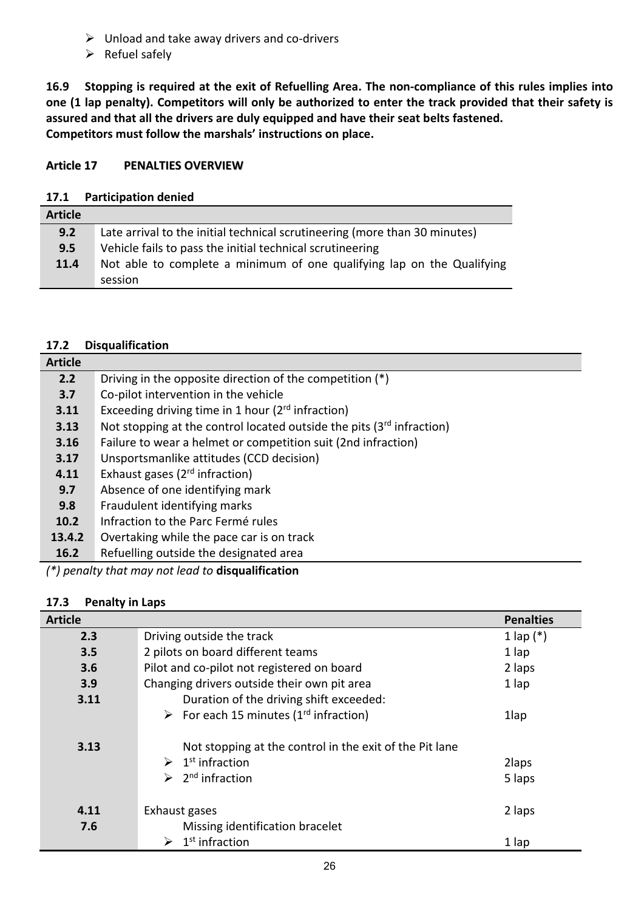- $\triangleright$  Unload and take away drivers and co-drivers
- $\triangleright$  Refuel safely

**16.9 Stopping is required at the exit of Refuelling Area. The non-compliance of this rules implies into one (1 lap penalty). Competitors will only be authorized to enter the track provided that their safety is assured and that all the drivers are duly equipped and have their seat belts fastened. Competitors must follow the marshals' instructions on place.**

# **Article 17 PENALTIES OVERVIEW**

# **17.1 Participation denied**

| <b>Article</b> |                                                                            |
|----------------|----------------------------------------------------------------------------|
| 9.2            | Late arrival to the initial technical scrutineering (more than 30 minutes) |
| 9.5            | Vehicle fails to pass the initial technical scrutineering                  |
| 11.4           | Not able to complete a minimum of one qualifying lap on the Qualifying     |
|                | session                                                                    |

# **17.2 Disqualification**

| <b>Article</b> |                                                                            |
|----------------|----------------------------------------------------------------------------|
| 2.2            | Driving in the opposite direction of the competition (*)                   |
| 3.7            | Co-pilot intervention in the vehicle                                       |
| 3.11           | Exceeding driving time in 1 hour ( $2rd$ infraction)                       |
| 3.13           | Not stopping at the control located outside the pits $(3^{rd}$ infraction) |
| 3.16           | Failure to wear a helmet or competition suit (2nd infraction)              |
| 3.17           | Unsportsmanlike attitudes (CCD decision)                                   |
| 4.11           | Exhaust gases ( $2rd$ infraction)                                          |
| 9.7            | Absence of one identifying mark                                            |
| 9.8            | Fraudulent identifying marks                                               |
| 10.2           | Infraction to the Parc Fermé rules                                         |
| 13.4.2         | Overtaking while the pace car is on track                                  |
| 16.2           | Refuelling outside the designated area                                     |

*(\*) penalty that may not lead to* **disqualification**

# **17.3 Penalty in Laps**

| <b>Article</b> |                                                                                                                 | <b>Penalties</b> |
|----------------|-----------------------------------------------------------------------------------------------------------------|------------------|
| 2.3            | Driving outside the track                                                                                       | 1 lap $(*)$      |
| 3.5            | 2 pilots on board different teams                                                                               | $1$ lap          |
| 3.6            | Pilot and co-pilot not registered on board<br>2 laps                                                            |                  |
| 3.9            | Changing drivers outside their own pit area                                                                     | 1 lap            |
| 3.11           | Duration of the driving shift exceeded:                                                                         |                  |
|                | For each 15 minutes ( $1rd$ infraction)                                                                         | 1lap             |
| 3.13           | Not stopping at the control in the exit of the Pit lane<br>$\geq 1^{st}$ infraction<br>$\geq 2^{nd}$ infraction | 2laps            |
|                |                                                                                                                 | 5 laps           |
| 4.11           | Exhaust gases                                                                                                   | 2 laps           |
| 7.6            | Missing identification bracelet                                                                                 |                  |
|                | 1 <sup>st</sup> infraction<br>➤                                                                                 | 1 lap            |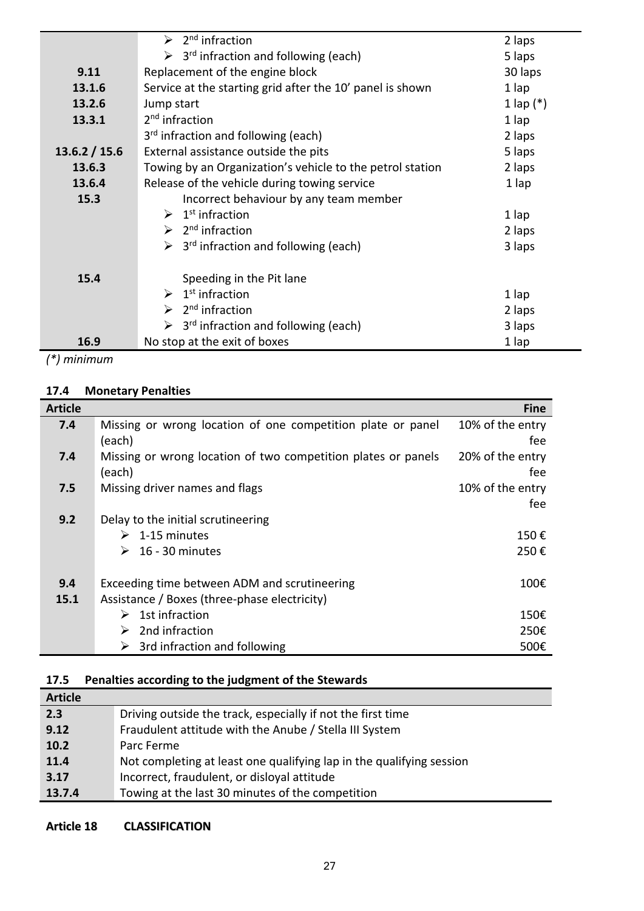|               | $\geq 2^{nd}$ infraction                                                | 2 laps      |  |  |
|---------------|-------------------------------------------------------------------------|-------------|--|--|
|               | $\triangleright$ 3 <sup>rd</sup> infraction and following (each)        | 5 laps      |  |  |
| 9.11          | Replacement of the engine block                                         | 30 laps     |  |  |
| 13.1.6        | Service at the starting grid after the 10' panel is shown<br>1 lap      |             |  |  |
| 13.2.6        | Jump start                                                              | 1 lap $(*)$ |  |  |
| 13.3.1        | 2 <sup>nd</sup> infraction<br>1 lap                                     |             |  |  |
|               | 3 <sup>rd</sup> infraction and following (each)                         | 2 laps      |  |  |
| 13.6.2 / 15.6 | External assistance outside the pits                                    | 5 laps      |  |  |
| 13.6.3        | Towing by an Organization's vehicle to the petrol station               | 2 laps      |  |  |
| 13.6.4        | Release of the vehicle during towing service<br>1 lap                   |             |  |  |
| 15.3          | Incorrect behaviour by any team member                                  |             |  |  |
|               | $\triangleright$ 1 <sup>st</sup> infraction                             | 1 lap       |  |  |
|               | $\triangleright$ 2 <sup>nd</sup> infraction                             | 2 laps      |  |  |
|               | $\triangleright$ 3 <sup>rd</sup> infraction and following (each)        |             |  |  |
| 15.4          |                                                                         |             |  |  |
|               | Speeding in the Pit lane                                                |             |  |  |
|               | $\triangleright$ 1 <sup>st</sup> infraction<br>$\geq 2^{nd}$ infraction | 1 lap       |  |  |
|               | 2 laps                                                                  |             |  |  |
|               | $\triangleright$ 3 <sup>rd</sup> infraction and following (each)        | 3 laps      |  |  |
| 16.9          | No stop at the exit of boxes                                            | 1 lap       |  |  |

*(\*) minimum*

# **17.4 Monetary Penalties**

| <b>Article</b> |                                                               | <b>Fine</b>      |  |
|----------------|---------------------------------------------------------------|------------------|--|
| 7.4            | Missing or wrong location of one competition plate or panel   | 10% of the entry |  |
|                | (each)                                                        | fee.             |  |
| 7.4            | Missing or wrong location of two competition plates or panels | 20% of the entry |  |
|                | (each)                                                        | fee.             |  |
| 7.5            | Missing driver names and flags                                | 10% of the entry |  |
|                |                                                               | fee              |  |
| 9.2            | Delay to the initial scrutineering                            |                  |  |
|                | $\geq 1$ -15 minutes                                          | 150€             |  |
|                | 16 - 30 minutes                                               | 250€             |  |
|                |                                                               |                  |  |
| 9.4            | 100€<br>Exceeding time between ADM and scrutineering          |                  |  |
| 15.1           | Assistance / Boxes (three-phase electricity)                  |                  |  |
|                | 1st infraction<br>➤                                           | 150€             |  |
|                | 2nd infraction<br>➤                                           | 250€             |  |
|                | $\triangleright$ 3rd infraction and following                 | 500€             |  |

# **17.5 Penalties according to the judgment of the Stewards**

| <b>Article</b> |                                                                      |
|----------------|----------------------------------------------------------------------|
| 2.3            | Driving outside the track, especially if not the first time          |
| 9.12           | Fraudulent attitude with the Anube / Stella III System               |
| 10.2           | Parc Ferme                                                           |
| 11.4           | Not completing at least one qualifying lap in the qualifying session |
| 3.17           | Incorrect, fraudulent, or disloyal attitude                          |
| 13.7.4         | Towing at the last 30 minutes of the competition                     |

**Article 18 CLASSIFICATION**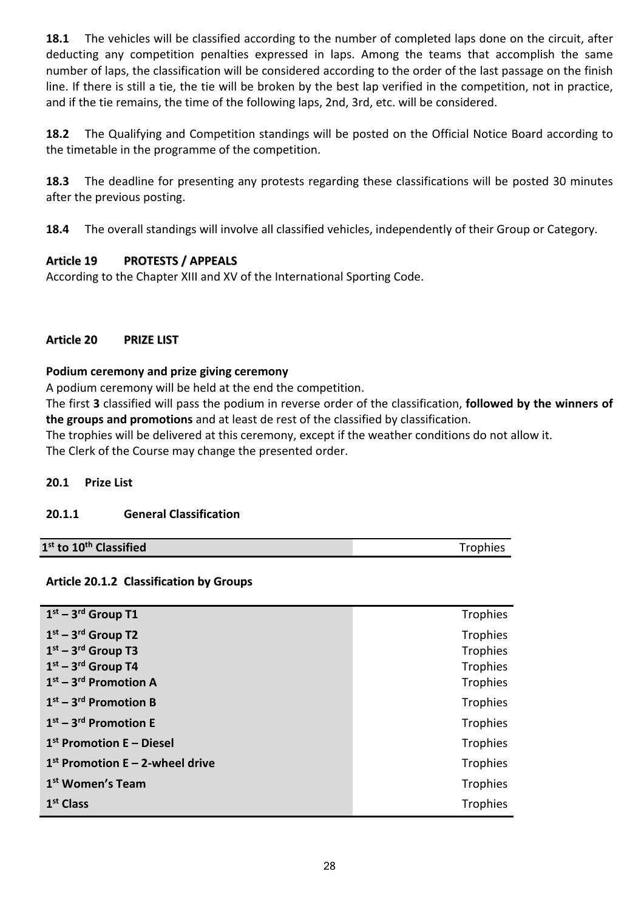**18.1** The vehicles will be classified according to the number of completed laps done on the circuit, after deducting any competition penalties expressed in laps. Among the teams that accomplish the same number of laps, the classification will be considered according to the order of the last passage on the finish line. If there is still a tie, the tie will be broken by the best lap verified in the competition, not in practice, and if the tie remains, the time of the following laps, 2nd, 3rd, etc. will be considered.

**18.2** The Qualifying and Competition standings will be posted on the Official Notice Board according to the timetable in the programme of the competition.

**18.3** The deadline for presenting any protests regarding these classifications will be posted 30 minutes after the previous posting.

**18.4** The overall standings will involve all classified vehicles, independently of their Group or Category.

# **Article 19 PROTESTS / APPEALS**

According to the Chapter XIII and XV of the International Sporting Code.

# **Article 20 PRIZE LIST**

# **Podium ceremony and prize giving ceremony**

A podium ceremony will be held at the end the competition.

The first **3** classified will pass the podium in reverse order of the classification, **followed by the winners of the groups and promotions** and at least de rest of the classified by classification.

The trophies will be delivered at this ceremony, except if the weather conditions do not allow it.

The Clerk of the Course may change the presented order.

# **20.1 Prize List**

# **20.1.1 General Classification**

| 1 <sup>st</sup> to 10 <sup>th</sup> Classified | Trophies |
|------------------------------------------------|----------|
|------------------------------------------------|----------|

# **Article 20.1.2 Classification by Groups**

| $1st - 3rd$ Group T1              | Trophies        |
|-----------------------------------|-----------------|
| $1st - 3rd$ Group T2              | Trophies        |
| $1st - 3rd$ Group T3              | Trophies        |
| $1st - 3rd$ Group T4              | <b>Trophies</b> |
| $1st - 3rd$ Promotion A           | Trophies        |
| $1st - 3rd$ Promotion B           | <b>Trophies</b> |
| $1st - 3rd$ Promotion E           | <b>Trophies</b> |
| $1st$ Promotion E – Diesel        | <b>Trophies</b> |
| $1st$ Promotion E – 2-wheel drive | <b>Trophies</b> |
| 1 <sup>st</sup> Women's Team      | <b>Trophies</b> |
| 1 <sup>st</sup> Class             | <b>Trophies</b> |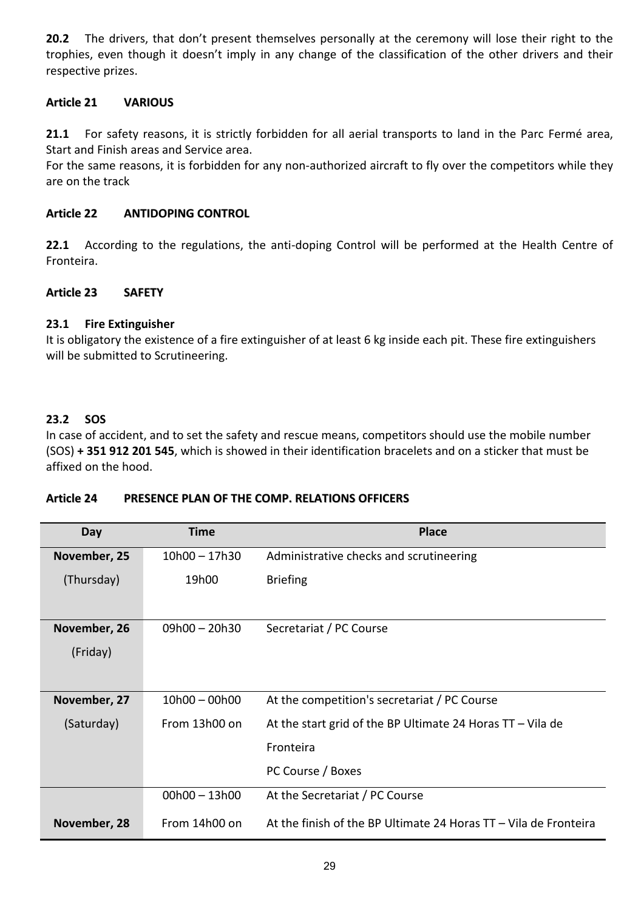**20.2** The drivers, that don't present themselves personally at the ceremony will lose their right to the trophies, even though it doesn't imply in any change of the classification of the other drivers and their respective prizes.

# **Article 21 VARIOUS**

**21.1** For safety reasons, it is strictly forbidden for all aerial transports to land in the Parc Fermé area, Start and Finish areas and Service area.

For the same reasons, it is forbidden for any non-authorized aircraft to fly over the competitors while they are on the track

# **Article 22 ANTIDOPING CONTROL**

**22.1** According to the regulations, the anti-doping Control will be performed at the Health Centre of Fronteira.

# **Article 23 SAFETY**

# **23.1 Fire Extinguisher**

It is obligatory the existence of a fire extinguisher of at least 6 kg inside each pit. These fire extinguishers will be submitted to Scrutineering.

# **23.2 SOS**

In case of accident, and to set the safety and rescue means, competitors should use the mobile number (SOS) **+ 351 912 201 545**, which is showed in their identification bracelets and on a sticker that must be affixed on the hood.

# **Article 24 PRESENCE PLAN OF THE COMP. RELATIONS OFFICERS**

| Day          | <b>Time</b>     | <b>Place</b>                                                     |
|--------------|-----------------|------------------------------------------------------------------|
| November, 25 | $10h00 - 17h30$ | Administrative checks and scrutineering                          |
| (Thursday)   | 19h00           | <b>Briefing</b>                                                  |
|              |                 |                                                                  |
| November, 26 | $09h00 - 20h30$ | Secretariat / PC Course                                          |
| (Friday)     |                 |                                                                  |
|              |                 |                                                                  |
| November, 27 | $10h00 - 00h00$ | At the competition's secretariat / PC Course                     |
| (Saturday)   | From 13h00 on   | At the start grid of the BP Ultimate 24 Horas $TT - Vila$ de     |
|              |                 | Fronteira                                                        |
|              |                 | PC Course / Boxes                                                |
|              | $00h00 - 13h00$ | At the Secretariat / PC Course                                   |
| November, 28 | From 14h00 on   | At the finish of the BP Ultimate 24 Horas TT - Vila de Fronteira |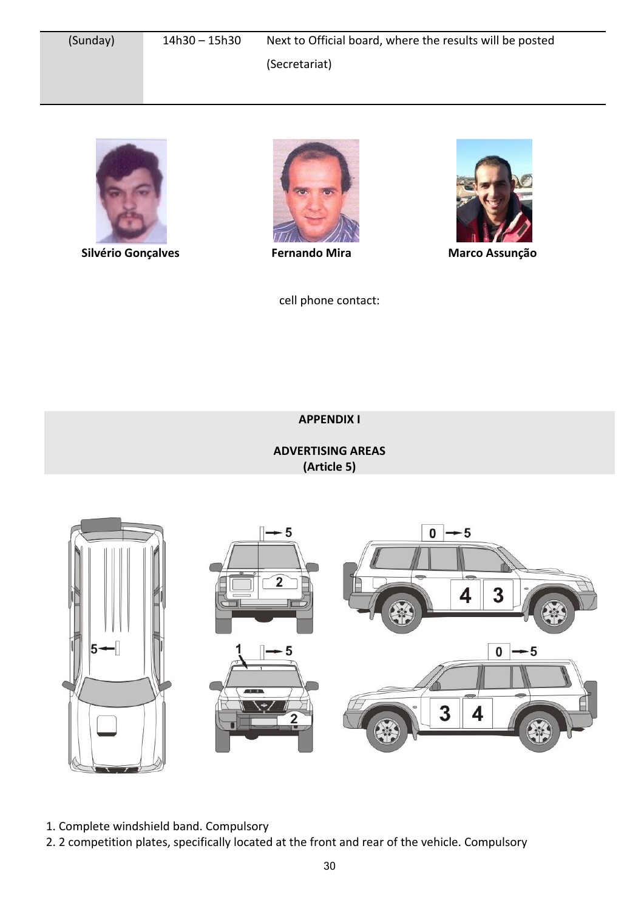

**Silvério Gonçalves Fernando Mira Marco Assunção**



cell phone contact:



**APPENDIX I**

**ADVERTISING AREAS (Article 5)**



- 1. Complete windshield band. Compulsory
- 2. 2 competition plates, specifically located at the front and rear of the vehicle. Compulsory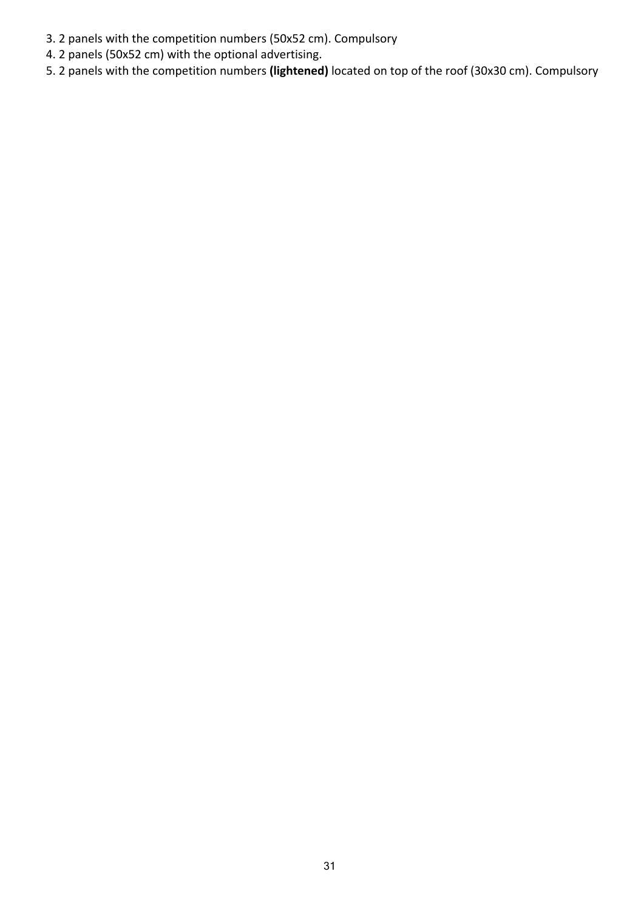- 3. 2 panels with the competition numbers (50x52 cm). Compulsory
- 4. 2 panels (50x52 cm) with the optional advertising.
- 5. 2 panels with the competition numbers **(lightened)** located on top of the roof (30x30 cm). Compulsory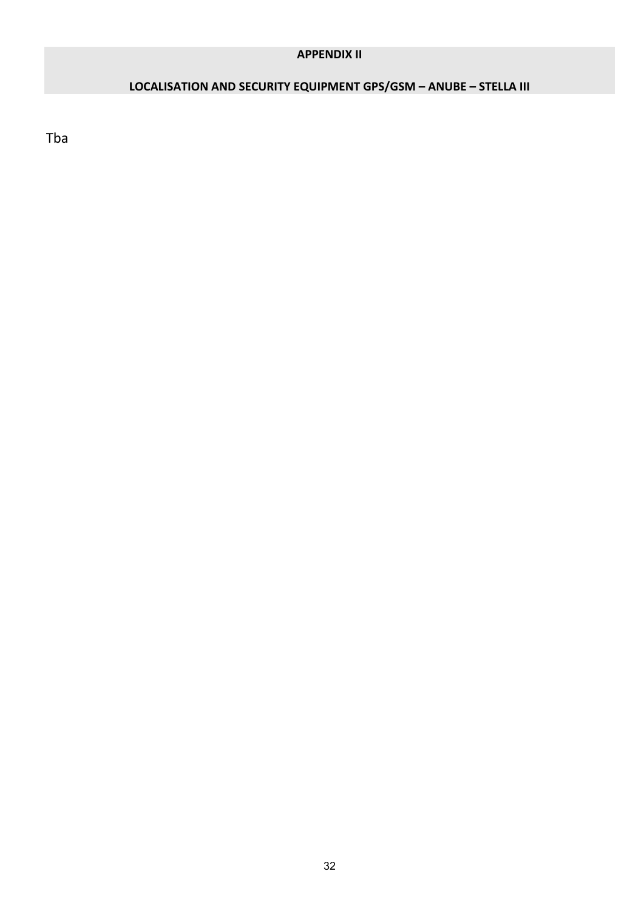#### **APPENDIX II**

# **LOCALISATION AND SECURITY EQUIPMENT GPS/GSM – ANUBE – STELLA III**

Tba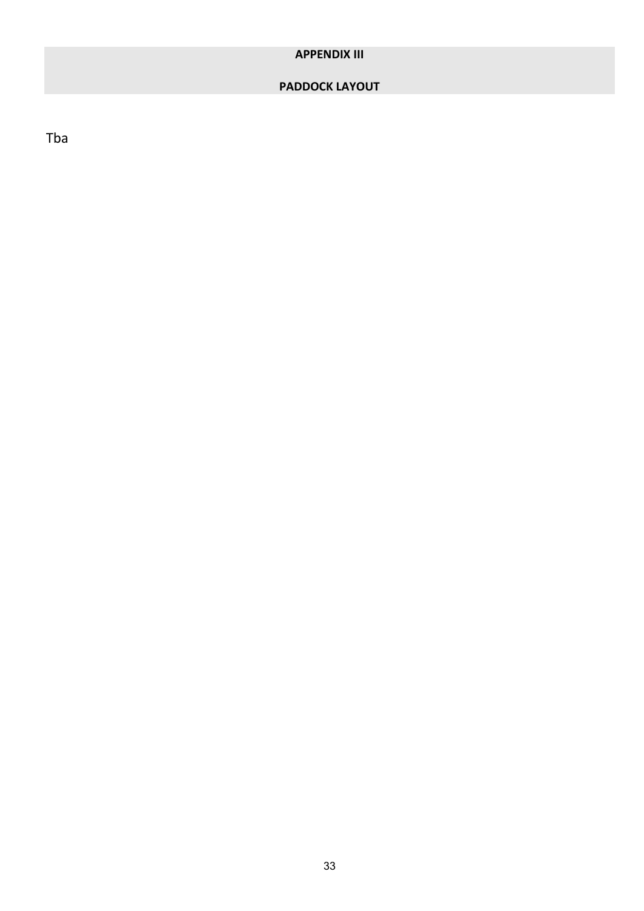# **APPENDIX III**

# **PADDOCK LAYOUT**

Tba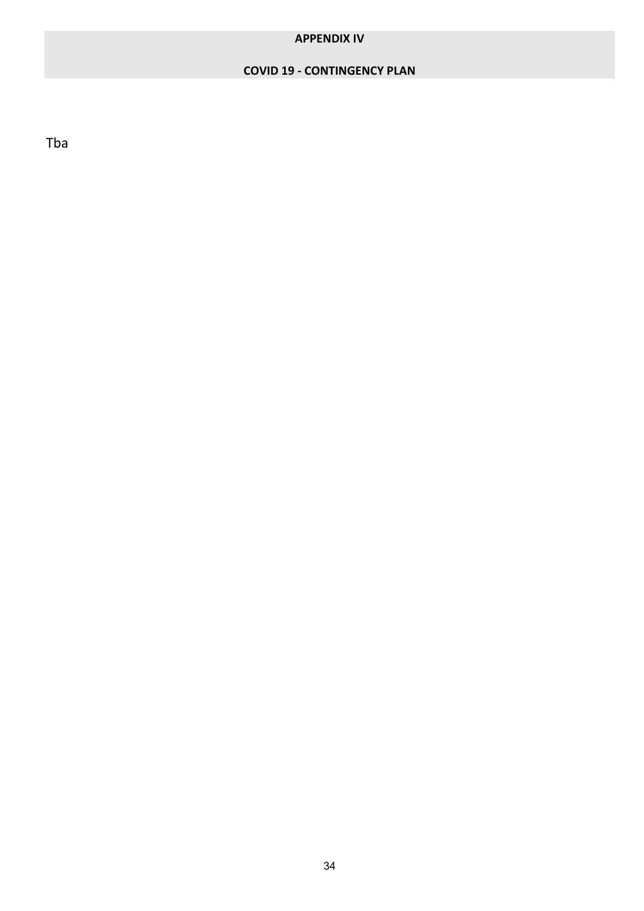#### **APPENDIX IV**

# **COVID 19 - CONTINGENCY PLAN**

Tba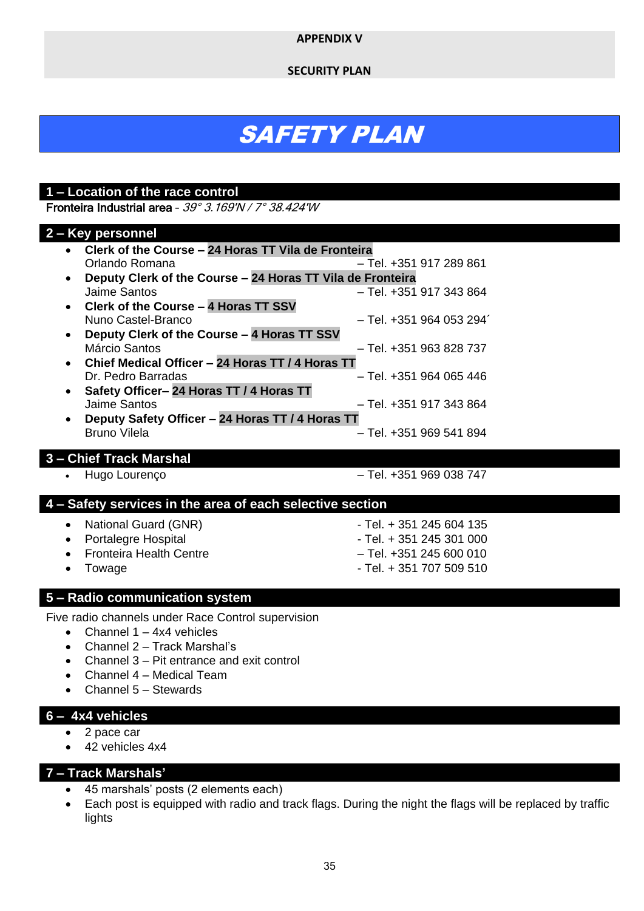#### **APPENDIX V**

#### **SECURITY PLAN**

# SAFETY PLAN

# **1 – Location of the race control**

Fronteira Industrial area – 39° 3.169'N / 7° 38.424'W

#### **2 – Key personnel**

| $\bullet$ | Clerk of the Course - 24 Horas TT Vila de Fronteira        |                             |  |
|-----------|------------------------------------------------------------|-----------------------------|--|
|           | Orlando Romana                                             | - Tel. +351 917 289 861     |  |
| $\bullet$ | Deputy Clerk of the Course - 24 Horas TT Vila de Fronteira |                             |  |
|           | Jaime Santos                                               | $-$ Tel. $+351$ 917 343 864 |  |
|           | • Clerk of the Course - 4 Horas TT SSV                     |                             |  |
|           | Nuno Castel-Branco                                         | - Tel. +351 964 053 294     |  |
|           | Deputy Clerk of the Course - 4 Horas TT SSV                |                             |  |
|           | Márcio Santos                                              | $-$ Tel. $+351$ 963 828 737 |  |
|           | • Chief Medical Officer - 24 Horas TT / 4 Horas TT         |                             |  |
|           | Dr. Pedro Barradas                                         | $-$ Tel. $+351$ 964 065 446 |  |
|           | Safety Officer- 24 Horas TT / 4 Horas TT                   |                             |  |
|           | Jaime Santos                                               | - Tel. +351 917 343 864     |  |
|           | Deputy Safety Officer - 24 Horas TT / 4 Horas TT           |                             |  |
|           | <b>Bruno Vilela</b>                                        | $-$ Tel. $+351$ 969 541 894 |  |

# **3 – Chief Track Marshal**

• Hugo Lourenço – Tel. +351 969 038 747

#### **4 – Safety services in the area of each selective section**

- National Guard (GNR) Tel. + 351 245 604 135
- Portalegre Hospital Tel. + 351 245 301 000
- Fronteira Health Centre Tel. +351 245 600 010
- Towage Tel. + 351 707 509 510

# **5 – Radio communication system**

Five radio channels under Race Control supervision

- Channel  $1 4x4$  vehicles
- Channel 2 Track Marshal's
- Channel 3 Pit entrance and exit control
- Channel 4 Medical Team
- Channel 5 Stewards

# **6 – 4x4 vehicles**

- 2 pace car
- 42 vehicles 4x4

# **7 – Track Marshals'**

- 45 marshals' posts (2 elements each)
- Each post is equipped with radio and track flags. During the night the flags will be replaced by traffic lights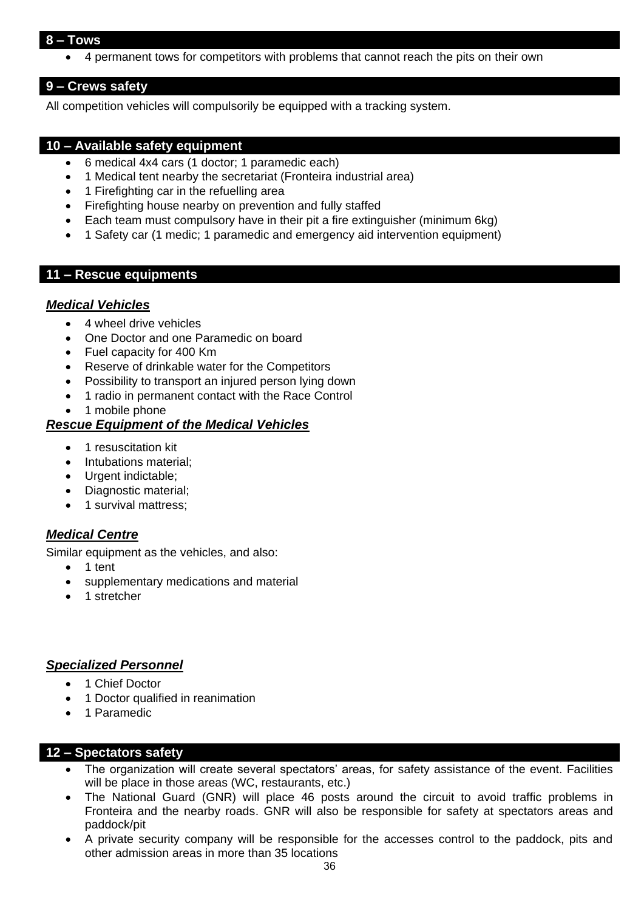#### **8 – Tows**

• 4 permanent tows for competitors with problems that cannot reach the pits on their own

# **9 – Crews safety**

All competition vehicles will compulsorily be equipped with a tracking system.

# **10 – Available safety equipment**

- 6 medical 4x4 cars (1 doctor; 1 paramedic each)
- 1 Medical tent nearby the secretariat (Fronteira industrial area)
- 1 Firefighting car in the refuelling area
- Firefighting house nearby on prevention and fully staffed
- Each team must compulsory have in their pit a fire extinguisher (minimum 6kg)
- 1 Safety car (1 medic; 1 paramedic and emergency aid intervention equipment)

# **11 – Rescue equipments**

# *Medical Vehicles*

- 4 wheel drive vehicles
- One Doctor and one Paramedic on board
- Fuel capacity for 400 Km
- Reserve of drinkable water for the Competitors
- Possibility to transport an injured person lying down
- 1 radio in permanent contact with the Race Control
- 1 mobile phone

# *Rescue Equipment of the Medical Vehicles*

- 1 resuscitation kit
- Intubations material;
- Urgent indictable;
- Diagnostic material;
- 1 survival mattress;

# *Medical Centre*

Similar equipment as the vehicles, and also:

- 1 tent
- supplementary medications and material
- 1 stretcher

# *Specialized Personnel*

- 1 Chief Doctor
- 1 Doctor qualified in reanimation
- 1 Paramedic

# **12 – Spectators safety**

- The organization will create several spectators' areas, for safety assistance of the event. Facilities will be place in those areas (WC, restaurants, etc.)
- The National Guard (GNR) will place 46 posts around the circuit to avoid traffic problems in Fronteira and the nearby roads. GNR will also be responsible for safety at spectators areas and paddock/pit
- A private security company will be responsible for the accesses control to the paddock, pits and other admission areas in more than 35 locations